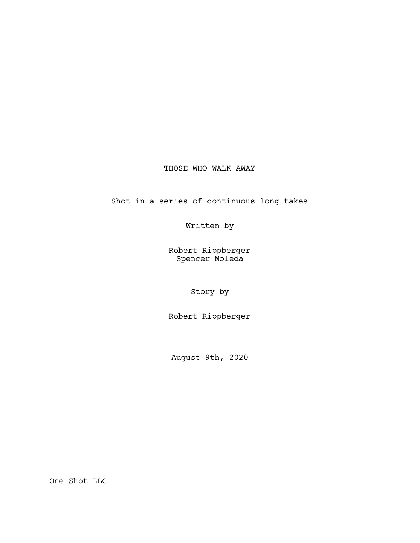# THOSE WHO WALK AWAY

Shot in a series of continuous long takes

Written by

Robert Rippberger Spencer Moleda

Story by

Robert Rippberger

August 9th, 2020

One Shot LLC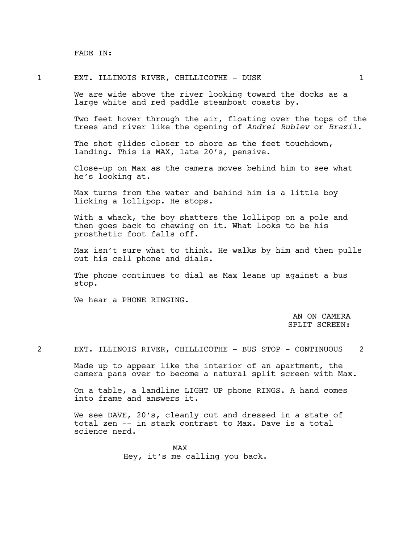FADE IN:

# 1 EXT. ILLINOIS RIVER, CHILLICOTHE - DUSK 1

We are wide above the river looking toward the docks as a large white and red paddle steamboat coasts by.

Two feet hover through the air, floating over the tops of the trees and river like the opening of *Andrei Rublev* or *Brazil*.

The shot glides closer to shore as the feet touchdown, landing. This is MAX, late 20's, pensive.

Close-up on Max as the camera moves behind him to see what he's looking at.

Max turns from the water and behind him is a little boy licking a lollipop. He stops.

With a whack, the boy shatters the lollipop on a pole and then goes back to chewing on it. What looks to be his prosthetic foot falls off.

Max isn't sure what to think. He walks by him and then pulls out his cell phone and dials.

The phone continues to dial as Max leans up against a bus stop.

We hear a PHONE RINGING.

AN ON CAMERA SPLIT SCREEN:

2 EXT. ILLINOIS RIVER, CHILLICOTHE - BUS STOP - CONTINUOUS 2

Made up to appear like the interior of an apartment, the camera pans over to become a natural split screen with Max.

On a table, a landline LIGHT UP phone RINGS. A hand comes into frame and answers it.

We see DAVE, 20's, cleanly cut and dressed in a state of total zen -- in stark contrast to Max. Dave is a total science nerd.

> MAX Hey, it's me calling you back.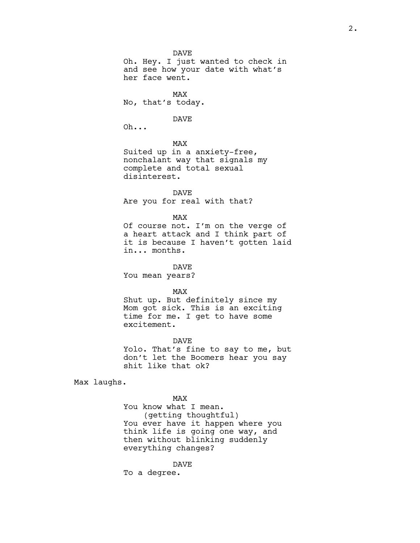DAVE Oh. Hey. I just wanted to check in and see how your date with what's her face went.

MAX No, that's today.

#### DAVE

Oh...

MAX

Suited up in a anxiety-free, nonchalant way that signals my complete and total sexual disinterest.

DAVE Are you for real with that?

MAX

Of course not. I'm on the verge of a heart attack and I think part of it is because I haven't gotten laid in... months.

DAVE

You mean years?

MAX

Shut up. But definitely since my Mom got sick. This is an exciting time for me. I get to have some excitement.

DAVE Yolo. That's fine to say to me, but don't let the Boomers hear you say shit like that ok?

Max laughs.

MAX You know what I mean. (getting thoughtful) You ever have it happen where you think life is going one way, and then without blinking suddenly everything changes?

DAVE To a degree.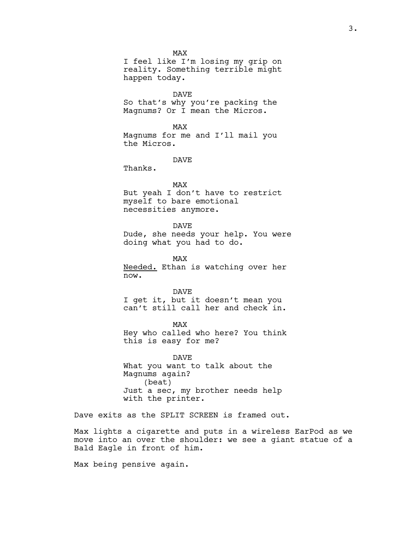MAX

I feel like I'm losing my grip on reality. Something terrible might happen today.

DAVE So that's why you're packing the Magnums? Or I mean the Micros.

MAX Magnums for me and I'll mail you the Micros.

DAVE

Thanks.

MAX

But yeah I don't have to restrict myself to bare emotional necessities anymore.

DAVE

Dude, she needs your help. You were doing what you had to do.

MAX Needed. Ethan is watching over her now.

DAVE I get it, but it doesn't mean you can't still call her and check in.

MAX Hey who called who here? You think this is easy for me?

DAVE What you want to talk about the Magnums again? (beat) Just a sec, my brother needs help with the printer.

Dave exits as the SPLIT SCREEN is framed out.

Max lights a cigarette and puts in a wireless EarPod as we move into an over the shoulder: we see a giant statue of a Bald Eagle in front of him.

Max being pensive again.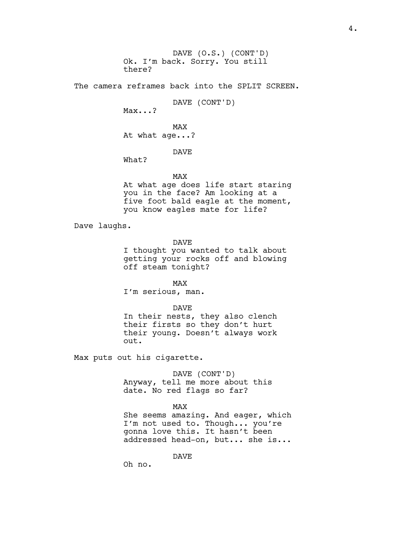DAVE (O.S.) (CONT'D) Ok. I'm back. Sorry. You still there?

The camera reframes back into the SPLIT SCREEN.

DAVE (CONT'D)

Max...?

MAX At what age...?

### DAVE

What?

MAX

At what age does life start staring you in the face? Am looking at a five foot bald eagle at the moment, you know eagles mate for life?

Dave laughs.

DAVE

I thought you wanted to talk about getting your rocks off and blowing off steam tonight?

MAX I'm serious, man.

DAVE

In their nests, they also clench their firsts so they don't hurt their young. Doesn't always work out.

Max puts out his cigarette.

DAVE (CONT'D) Anyway, tell me more about this date. No red flags so far?

#### MAX

She seems amazing. And eager, which I'm not used to. Though... you're gonna love this. It hasn't been addressed head-on, but... she is...

DAVE

Oh no.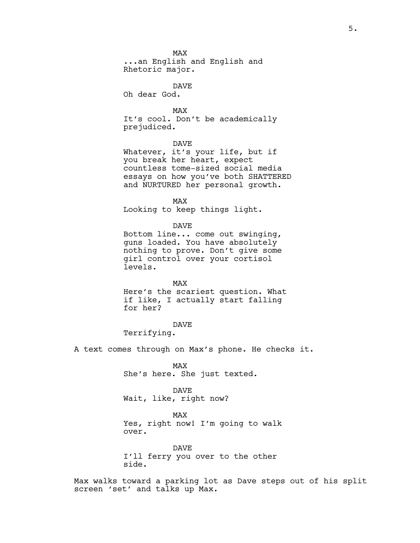MAX ...an English and English and Rhetoric major.

DAVE

Oh dear God.

MAX It's cool. Don't be academically prejudiced.

DAVE

Whatever, it's your life, but if you break her heart, expect countless tome-sized social media essays on how you've both SHATTERED and NURTURED her personal growth.

MAX

Looking to keep things light.

DAVE

Bottom line... come out swinging, guns loaded. You have absolutely nothing to prove. Don't give some girl control over your cortisol levels.

MAX

Here's the scariest question. What if like, I actually start falling for her?

DAVE

Terrifying.

A text comes through on Max's phone. He checks it.

MAX She's here. She just texted.

DAVE Wait, like, right now?

MAX

Yes, right now! I'm going to walk over.

DAVE I'll ferry you over to the other side.

Max walks toward a parking lot as Dave steps out of his split screen 'set' and talks up Max.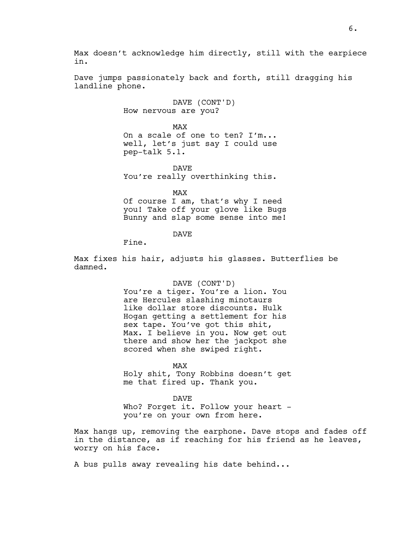Max doesn't acknowledge him directly, still with the earpiece in.

Dave jumps passionately back and forth, still dragging his landline phone.

> DAVE (CONT'D) How nervous are you?

MAX On a scale of one to ten? I'm... well, let's just say I could use pep-talk 5.1.

DAVE You're really overthinking this.

MAX

Of course I am, that's why I need you! Take off your glove like Bugs Bunny and slap some sense into me!

DAVE

Fine.

Max fixes his hair, adjusts his glasses. Butterflies be damned.

DAVE (CONT'D)

You're a tiger. You're a lion. You are Hercules slashing minotaurs like dollar store discounts. Hulk Hogan getting a settlement for his sex tape. You've got this shit, Max. I believe in you. Now get out there and show her the jackpot she scored when she swiped right.

MAX Holy shit, Tony Robbins doesn't get me that fired up. Thank you.

DAVE Who? Forget it. Follow your heart you're on your own from here.

Max hangs up, removing the earphone. Dave stops and fades off in the distance, as if reaching for his friend as he leaves, worry on his face.

A bus pulls away revealing his date behind...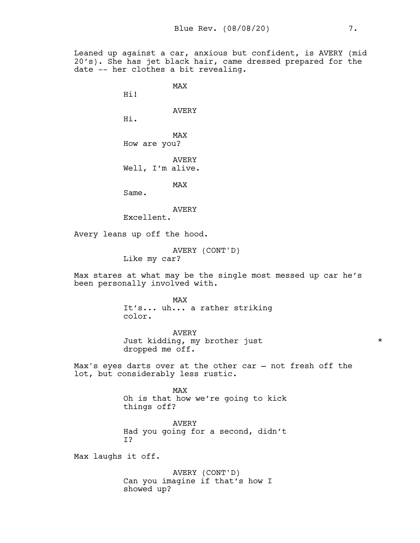Leaned up against a car, anxious but confident, is AVERY (mid 20's). She has jet black hair, came dressed prepared for the date -- her clothes a bit revealing.

MAX

Hi!

AVERY

Hi.

MAX How are you?

AVERY Well, I'm alive.

MAX

Same.

AVERY

Excellent.

Avery leans up off the hood.

AVERY (CONT'D) Like my car?

Max stares at what may be the single most messed up car he's been personally involved with.

> MAX It's... uh... a rather striking color.

AVERY Just kidding, my brother just \* dropped me off.

Max's eyes darts over at the other car — not fresh off the lot, but considerably less rustic.

> MAX Oh is that how we're going to kick things off?

> AVERY Had you going for a second, didn't I?

Max laughs it off.

AVERY (CONT'D) Can you imagine if that's how I showed up?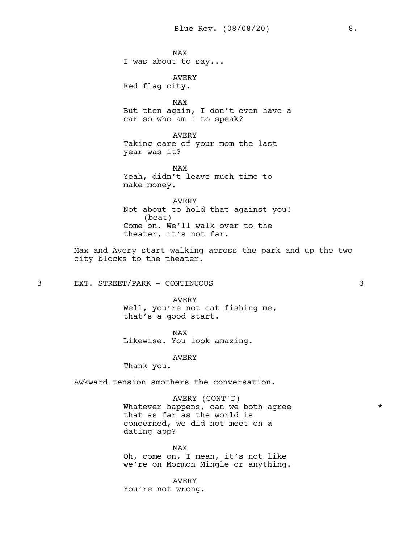MAX I was about to say...

AVERY Red flag city.

MAX But then again, I don't even have a car so who am I to speak?

AVERY Taking care of your mom the last year was it?

MAX Yeah, didn't leave much time to make money.

AVERY Not about to hold that against you! (beat) Come on. We'll walk over to the theater, it's not far.

Max and Avery start walking across the park and up the two city blocks to the theater.

3 EXT. STREET/PARK - CONTINUOUS 3

AVERY Well, you're not cat fishing me, that's a good start.

MAX Likewise. You look amazing.

AVERY

Thank you.

Awkward tension smothers the conversation.

AVERY (CONT'D) Whatever happens, can we both agree  $*$ that as far as the world is concerned, we did not meet on a dating app?

MAX Oh, come on, I mean, it's not like we're on Mormon Mingle or anything.

AVERY You're not wrong.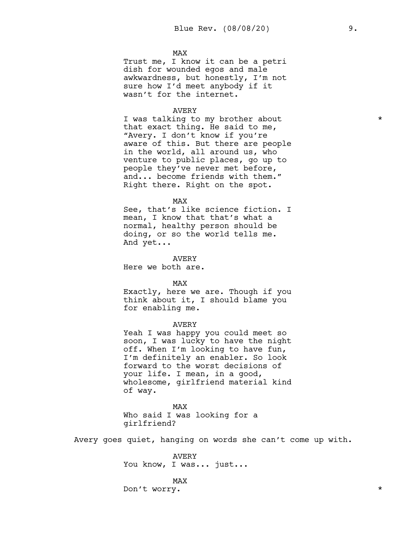MAX

Trust me, I know it can be a petri dish for wounded egos and male awkwardness, but honestly, I'm not sure how I'd meet anybody if it wasn't for the internet.

## AVERY

I was talking to my brother about  $*$ that exact thing. He said to me, "Avery. I don't know if you're aware of this. But there are people in the world, all around us, who venture to public places, go up to people they've never met before, and... become friends with them." Right there. Right on the spot.

#### MAX

See, that's like science fiction. I mean, I know that that's what a normal, healthy person should be doing, or so the world tells me. And yet...

AVERY

Here we both are.

MAX

Exactly, here we are. Though if you think about it, I should blame you for enabling me.

# AVERY

Yeah I was happy you could meet so soon, I was lucky to have the night off. When I'm looking to have fun, I'm definitely an enabler. So look forward to the worst decisions of your life. I mean, in a good, wholesome, girlfriend material kind of way.

MAX Who said I was looking for a girlfriend?

Avery goes quiet, hanging on words she can't come up with.

AVERY You know, I was... just...

MAX Don't worry.  $\star$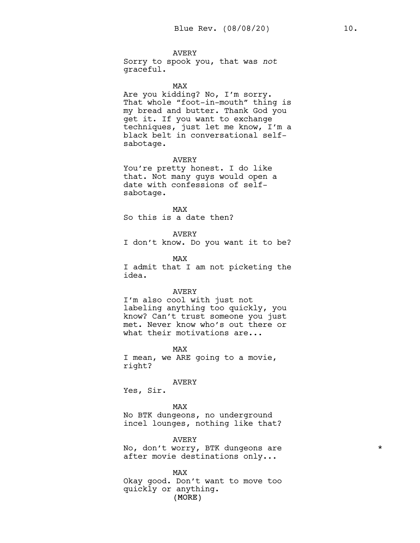# AVERY

Sorry to spook you, that was *not* graceful.

#### MAX

Are you kidding? No, I'm sorry. That whole "foot-in-mouth" thing is my bread and butter. Thank God you get it. If you want to exchange techniques, just let me know, I'm a black belt in conversational selfsabotage.

#### AVERY

You're pretty honest. I do like that. Not many guys would open a date with confessions of selfsabotage.

#### MAX

So this is a date then?

# AVERY

I don't know. Do you want it to be?

MAX

I admit that I am not picketing the idea.

#### AVERY

I'm also cool with just not labeling anything too quickly, you know? Can't trust someone you just met. Never know who's out there or what their motivations are...

MAX I mean, we ARE going to a movie, right?

#### AVERY

Yes, Sir.

MAX No BTK dungeons, no underground incel lounges, nothing like that?

AVERY

No, don't worry, BTK dungeons are  $*$ after movie destinations only...

MAX

(MORE) Okay good. Don't want to move too quickly or anything.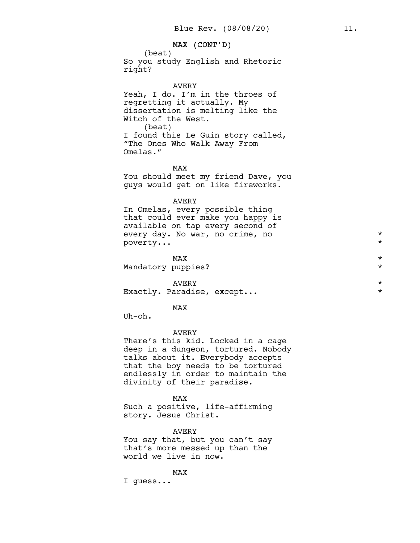# MAX (CONT'D)

(beat) So you study English and Rhetoric right?

#### AVERY

Yeah, I do. I'm in the throes of regretting it actually. My dissertation is melting like the Witch of the West. (beat) I found this Le Guin story called, "The Ones Who Walk Away From Omelas."

MAX

You should meet my friend Dave, you guys would get on like fireworks.

# AVERY

In Omelas, every possible thing that could ever make you happy is available on tap every second of every day. No war, no crime, no  $\ast$ <br>noverty poverty...

 $\texttt{MAX}$   $\star$ Mandatory puppies? \*

AVERY  $\star$ Exactly. Paradise, except... \*

#### MAX

Uh-oh.

#### AVERY

There's this kid. Locked in a cage deep in a dungeon, tortured. Nobody talks about it. Everybody accepts that the boy needs to be tortured endlessly in order to maintain the divinity of their paradise.

MAX

Such a positive, life-affirming story. Jesus Christ.

AVERY

You say that, but you can't say that's more messed up than the world we live in now.

MAX

I guess...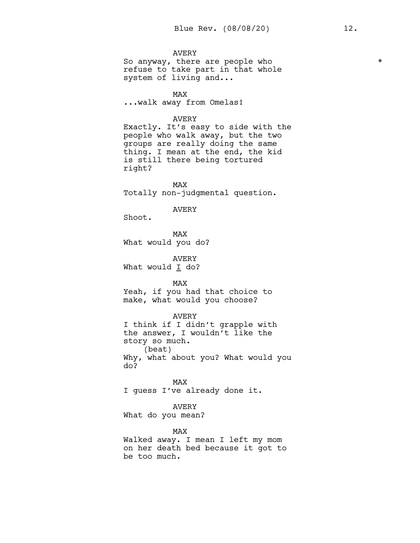# AVERY

So anyway, there are people who  $*$ refuse to take part in that whole system of living and...

MAX

...walk away from Omelas!

# AVERY

Exactly. It's easy to side with the people who walk away, but the two groups are really doing the same thing. I mean at the end, the kid is still there being tortured right?

MAX Totally non-judgmental question.

## AVERY

Shoot.

MAX What would you do?

AVERY What would  $I$  do?

MAX Yeah, if you had that choice to make, what would you choose?

#### AVERY

I think if I didn't grapple with the answer, I wouldn't like the story so much. (beat) Why, what about you? What would you do?

MAX I guess I've already done it.

# AVERY

What do you mean?

#### MAX

Walked away. I mean I left my mom on her death bed because it got to be too much.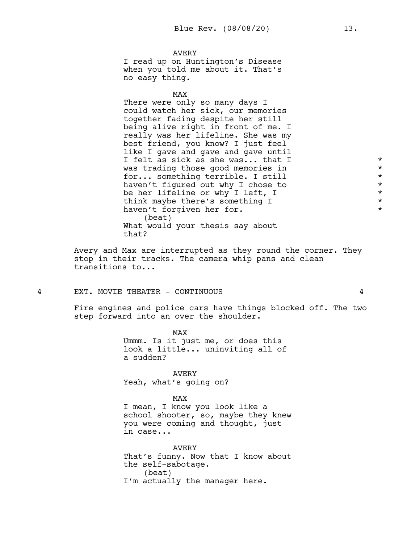AVERY I read up on Huntington's Disease when you told me about it. That's no easy thing.

MAX

There were only so many days I could watch her sick, our memories together fading despite her still being alive right in front of me. I really was her lifeline. She was my best friend, you know? I just feel like I gave and gave and gave until I felt as sick as she was... that I  $*$ was trading those good memories in  $*$ for... something terrible. I still<br>haven't figured out why I chose to  $\star$ haven't figured out why I chose to  $\star$ <br>be her lifeline or why I left. I be her lifeline or why I left, I  $\star$ <br>think maybe there's something I think maybe there's something I \* haven't forgiven her for. (beat) What would your thesis say about that?

Avery and Max are interrupted as they round the corner. They stop in their tracks. The camera whip pans and clean transitions to...

#### 4 EXT. MOVIE THEATER - CONTINUOUS 4

Fire engines and police cars have things blocked off. The two step forward into an over the shoulder.

> MAX Ummm. Is it just me, or does this look a little... uninviting all of a sudden?

AVERY Yeah, what's going on?

MAX

I mean, I know you look like a school shooter, so, maybe they knew you were coming and thought, just in case...

AVERY That's funny. Now that I know about the self-sabotage. (beat) I'm actually the manager here.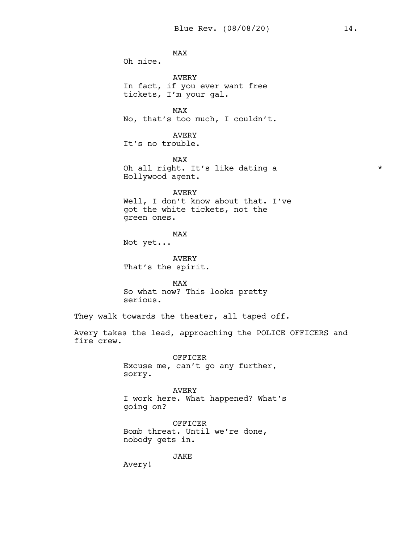MAX Oh nice. AVERY In fact, if you ever want free tickets, I'm your gal. MAX No, that's too much, I couldn't. AVERY It's no trouble. MAX Oh all right. It's like dating a  $*$ Hollywood agent. AVERY Well, I don't know about that. I've got the white tickets, not the green ones. MAX Not yet...

AVERY That's the spirit.

MAX So what now? This looks pretty serious.

They walk towards the theater, all taped off.

Avery takes the lead, approaching the POLICE OFFICERS and fire crew.

> OFFICER Excuse me, can't go any further, sorry.

AVERY I work here. What happened? What's going on?

OFFICER Bomb threat. Until we're done, nobody gets in.

JAKE

Avery!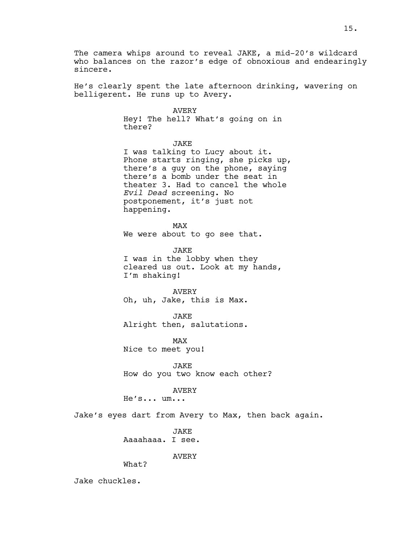The camera whips around to reveal JAKE, a mid-20's wildcard who balances on the razor's edge of obnoxious and endearingly sincere.

He's clearly spent the late afternoon drinking, wavering on belligerent. He runs up to Avery.

AVERY

Hey! The hell? What's going on in there?

JAKE

I was talking to Lucy about it. Phone starts ringing, she picks up, there's a guy on the phone, saying there's a bomb under the seat in theater 3. Had to cancel the whole *Evil Dead* screening. No postponement, it's just not happening.

MAX We were about to go see that.

**JAKE** I was in the lobby when they cleared us out. Look at my hands, I'm shaking!

AVERY Oh, uh, Jake, this is Max.

JAKE Alright then, salutations.

MAX Nice to meet you!

JAKE How do you two know each other?

AVERY

He's... um...

Jake's eyes dart from Avery to Max, then back again.

**JAKE** Aaaahaaa. I see.

AVERY

What?

Jake chuckles.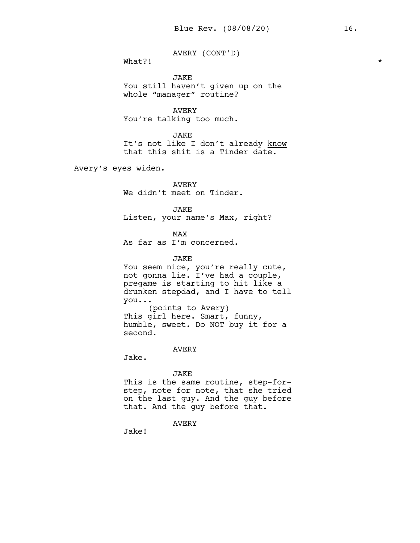AVERY (CONT'D)

What?!  $\star$ 

JAKE You still haven't given up on the whole "manager" routine?

AVERY You're talking too much.

JAKE It's not like I don't already know that this shit is a Tinder date.

Avery's eyes widen.

AVERY We didn't meet on Tinder.

JAKE Listen, your name's Max, right?

MAX As far as I'm concerned.

JAKE

You seem nice, you're really cute, not gonna lie. I've had a couple, pregame is starting to hit like a drunken stepdad, and I have to tell you... (points to Avery)

This girl here. Smart, funny, humble, sweet. Do NOT buy it for a second.

AVERY

Jake.

JAKE

This is the same routine, step-forstep, note for note, that she tried on the last guy. And the guy before that. And the guy before that.

AVERY

Jake!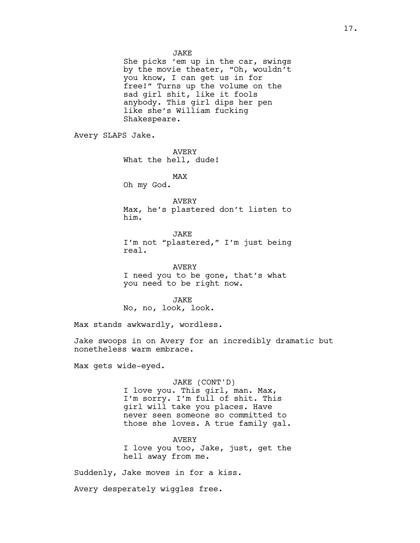JAKE

She picks 'em up in the car, swings by the movie theater, "Oh, wouldn't you know, I can get us in for free!" Turns up the volume on the sad girl shit, like it fools anybody. This girl dips her pen like she's William fucking Shakespeare.

Avery SLAPS Jake.

AVERY What the hell, dude!

MAX Oh my God.

AVERY Max, he's plastered don't listen to him.

JAKE I'm not "plastered," I'm just being real.

AVERY I need you to be gone, that's what you need to be right now.

**JAKE** No, no, look, look.

Max stands awkwardly, wordless.

Jake swoops in on Avery for an incredibly dramatic but nonetheless warm embrace.

Max gets wide-eyed.

JAKE (CONT'D)

I love you. This girl, man. Max, I'm sorry. I'm full of shit. This girl will take you places. Have never seen someone so committed to those she loves. A true family gal.

AVERY I love you too, Jake, just, get the hell away from me.

Suddenly, Jake moves in for a kiss.

Avery desperately wiggles free.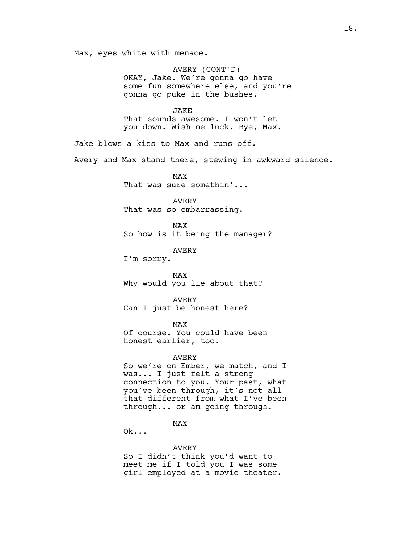Max, eyes white with menace.

AVERY (CONT'D) OKAY, Jake. We're gonna go have some fun somewhere else, and you're gonna go puke in the bushes.

JAKE That sounds awesome. I won't let you down. Wish me luck. Bye, Max.

Jake blows a kiss to Max and runs off.

Avery and Max stand there, stewing in awkward silence.

MAX That was sure somethin'...

AVERY That was so embarrassing.

MAX So how is it being the manager?

AVERY

I'm sorry.

MAX Why would you lie about that?

AVERY Can I just be honest here?

MAX

Of course. You could have been honest earlier, too.

AVERY

So we're on Ember, we match, and I was... I just felt a strong connection to you. Your past, what you've been through, it's not all that different from what I've been through... or am going through.

MAX

Ok...

AVERY

So I didn't think you'd want to meet me if I told you I was some girl employed at a movie theater.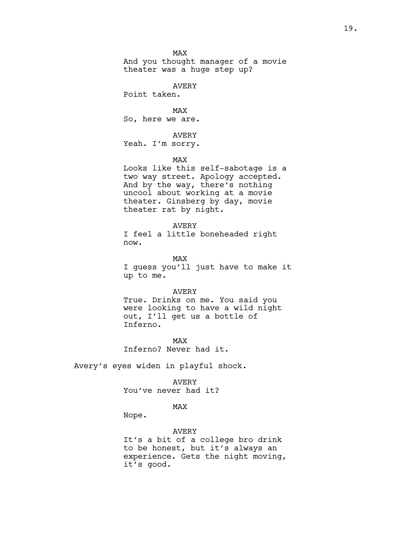MAX And you thought manager of a movie theater was a huge step up?

AVERY

Point taken.

MAX So, here we are.

AVERY Yeah. I'm sorry.

MAX

Looks like this self-sabotage is a two way street. Apology accepted. And by the way, there's nothing uncool about working at a movie theater. Ginsberg by day, movie theater rat by night.

AVERY

I feel a little boneheaded right now.

MAX I guess you'll just have to make it up to me.

AVERY

True. Drinks on me. You said you were looking to have a wild night out, I'll get us a bottle of Inferno.

MAX Inferno? Never had it.

Avery's eyes widen in playful shock.

AVERY You've never had it?

# MAX

Nope.

AVERY It's a bit of a college bro drink to be honest, but it's always an experience. Gets the night moving, it's good.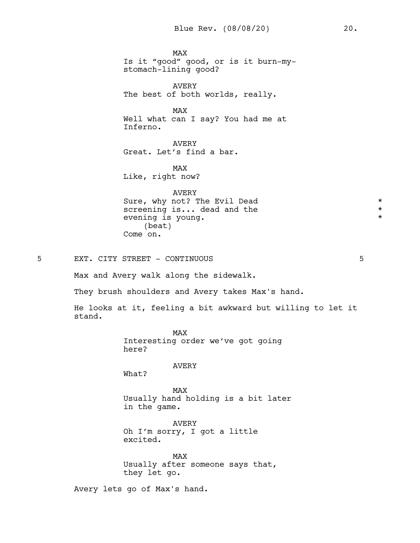MAX Is it "good" good, or is it burn-mystomach-lining good? AVERY The best of both worlds, really. MAX Well what can I say? You had me at Inferno. AVERY Great. Let's find a bar. MAX Like, right now? AVERY Sure, why not? The Evil Dead  $\star$ <br>screening is... dead and the  $\star$ screening is... dead and the evening is young.  $\star$ (beat) Come on. 5 EXT. CITY STREET - CONTINUOUS 5 Max and Avery walk along the sidewalk. They brush shoulders and Avery takes Max's hand. He looks at it, feeling a bit awkward but willing to let it stand. MAX Interesting order we've got going here? AVERY What? MAX

Usually hand holding is a bit later in the game.

AVERY Oh I'm sorry, I got a little excited.

MAX Usually after someone says that, they let go.

Avery lets go of Max's hand.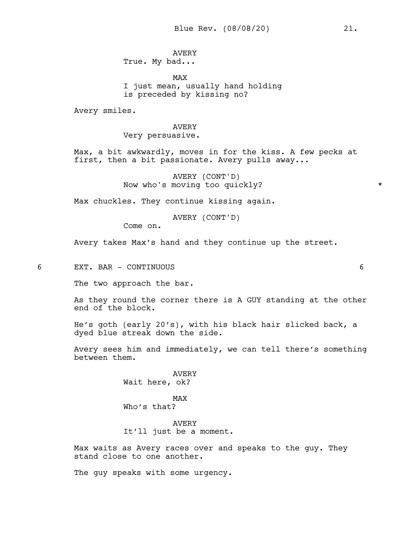# AVERY

True. My bad...

MAX I just mean, usually hand holding is preceded by kissing no?

Avery smiles.

# AVERY Very persuasive.

Max, a bit awkwardly, moves in for the kiss. A few pecks at first, then a bit passionate. Avery pulls away...

> AVERY (CONT'D) Now who's moving too quickly?  $*$

Max chuckles. They continue kissing again.

AVERY (CONT'D)

Come on.

Avery takes Max's hand and they continue up the street.

6 EXT. BAR - CONTINUOUS 6

The two approach the bar.

As they round the corner there is A GUY standing at the other end of the block.

He's goth (early 20's), with his black hair slicked back, a dyed blue streak down the side.

Avery sees him and immediately, we can tell there's something between them.

> AVERY Wait here, ok?

MAX Who's that?

AVERY It'll just be a moment.

Max waits as Avery races over and speaks to the guy. They stand close to one another.

The guy speaks with some urgency.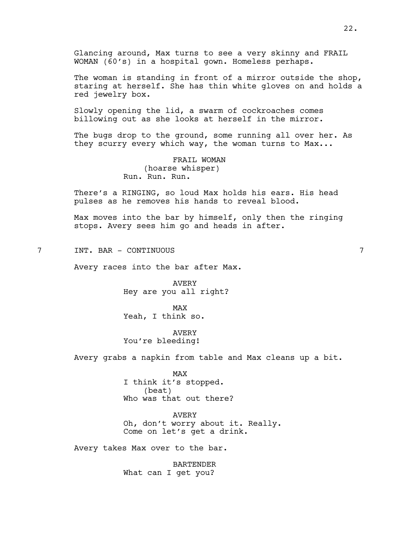Glancing around, Max turns to see a very skinny and FRAIL WOMAN (60's) in a hospital gown. Homeless perhaps.

The woman is standing in front of a mirror outside the shop, staring at herself. She has thin white gloves on and holds a red jewelry box.

Slowly opening the lid, a swarm of cockroaches comes billowing out as she looks at herself in the mirror.

The bugs drop to the ground, some running all over her. As they scurry every which way, the woman turns to Max...

> FRAIL WOMAN (hoarse whisper) Run. Run. Run.

There's a RINGING, so loud Max holds his ears. His head pulses as he removes his hands to reveal blood.

Max moves into the bar by himself, only then the ringing stops. Avery sees him go and heads in after.

7 INT. BAR - CONTINUOUS 7

Avery races into the bar after Max.

AVERY Hey are you all right?

MAX Yeah, I think so.

AVERY You're bleeding!

Avery grabs a napkin from table and Max cleans up a bit.

MAX I think it's stopped. (beat) Who was that out there?

AVERY Oh, don't worry about it. Really. Come on let's get a drink.

Avery takes Max over to the bar.

BARTENDER What can I get you?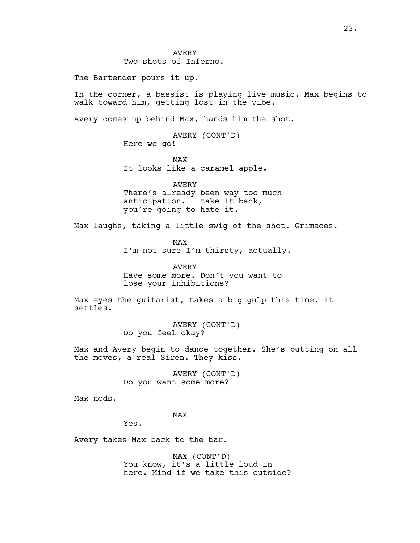AVERY Two shots of Inferno.

The Bartender pours it up.

In the corner, a bassist is playing live music. Max begins to walk toward him, getting lost in the vibe.

Avery comes up behind Max, hands him the shot.

AVERY (CONT'D) Here we go!

MAX It looks like a caramel apple.

AVERY There's already been way too much anticipation. I take it back, you're going to hate it.

Max laughs, taking a little swig of the shot. Grimaces.

MAX I'm not sure I'm thirsty, actually.

AVERY Have some more. Don't you want to lose your inhibitions?

Max eyes the guitarist, takes a big gulp this time. It settles.

> AVERY (CONT'D) Do you feel okay?

Max and Avery begin to dance together. She's putting on all the moves, a real Siren. They kiss.

> AVERY (CONT'D) Do you want some more?

Max nods.

## MAX

Yes.

Avery takes Max back to the bar.

MAX (CONT'D) You know, it's a little loud in here. Mind if we take this outside?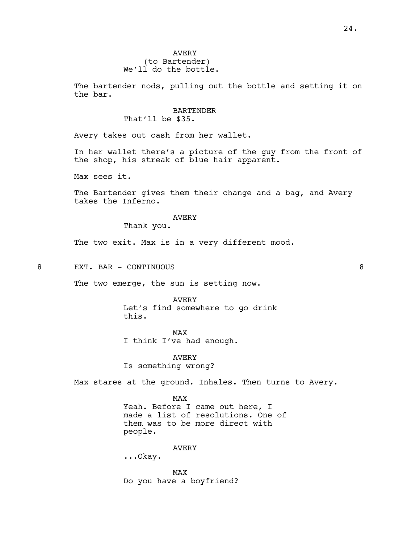The bartender nods, pulling out the bottle and setting it on the bar.

# BARTENDER

That'll be \$35.

Avery takes out cash from her wallet.

In her wallet there's a picture of the guy from the front of the shop, his streak of blue hair apparent.

Max sees it.

The Bartender gives them their change and a bag, and Avery takes the Inferno.

# AVERY

Thank you.

The two exit. Max is in a very different mood.

8 EXT. BAR - CONTINUOUS 8

The two emerge, the sun is setting now.

AVERY Let's find somewhere to go drink this.

MAX I think I've had enough.

AVERY Is something wrong?

Max stares at the ground. Inhales. Then turns to Avery.

MAX Yeah. Before I came out here, I made a list of resolutions. One of them was to be more direct with people.

## AVERY

...Okay.

MAX Do you have a boyfriend?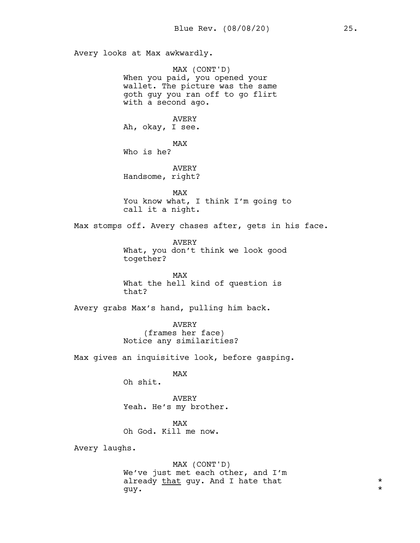Avery looks at Max awkwardly. MAX (CONT'D) When you paid, you opened your wallet. The picture was the same goth guy you ran off to go flirt with a second ago. AVERY Ah, okay, I see. MAX Who is he? AVERY Handsome, right? MAX You know what, I think I'm going to call it a night. Max stomps off. Avery chases after, gets in his face. AVERY What, you don't think we look good together? MAX What the hell kind of question is that? Avery grabs Max's hand, pulling him back. AVERY (frames her face) Notice any similarities? Max gives an inquisitive look, before gasping. MAX Oh shit. AVERY Yeah. He's my brother. MAX Oh God. Kill me now. Avery laughs. MAX (CONT'D) We've just met each other, and I'm already that guy. And I hate that  $*$ guy. \*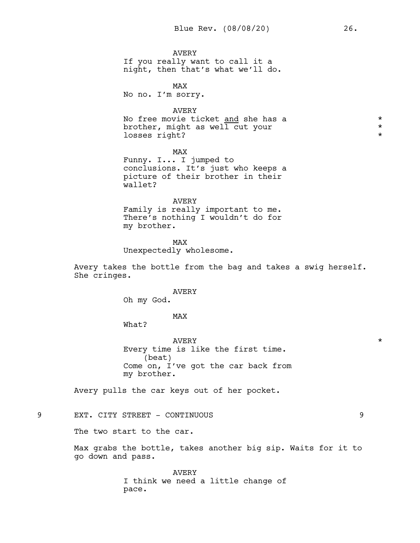AVERY If you really want to call it a night, then that's what we'll do.

MAX No no. I'm sorry.

# AVERY

No free movie ticket and she has a  $*$ brother, might as well cut your  $*$ <br>losses right? losses right?

MAX Funny. I... I jumped to conclusions. It's just who keeps a picture of their brother in their wallet?

### AVERY

Family is really important to me. There's nothing I wouldn't do for my brother.

MAX Unexpectedly wholesome.

Avery takes the bottle from the bag and takes a swig herself. She cringes.

# AVERY

Oh my God.

MAX

What?

AVERY  $\qquad$  \* Every time is like the first time. (beat) Come on, I've got the car back from my brother.

Avery pulls the car keys out of her pocket.

9 EXT. CITY STREET - CONTINUOUS 9

The two start to the car.

Max grabs the bottle, takes another big sip. Waits for it to go down and pass.

> AVERY I think we need a little change of pace.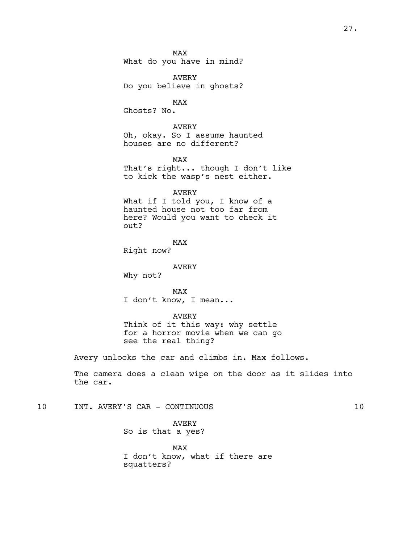MAX What do you have in mind?

AVERY Do you believe in ghosts?

MAX Ghosts? No.

AVERY Oh, okay. So I assume haunted houses are no different?

MAX That's right... though I don't like to kick the wasp's nest either.

AVERY

What if I told you, I know of a haunted house not too far from here? Would you want to check it out?

MAX

Right now?

AVERY

Why not?

MAX I don't know, I mean...

AVERY

Think of it this way: why settle for a horror movie when we can go see the real thing?

Avery unlocks the car and climbs in. Max follows.

The camera does a clean wipe on the door as it slides into the car.

10 INT. AVERY'S CAR - CONTINUOUS 10

AVERY So is that a yes?

MAX I don't know, what if there are squatters?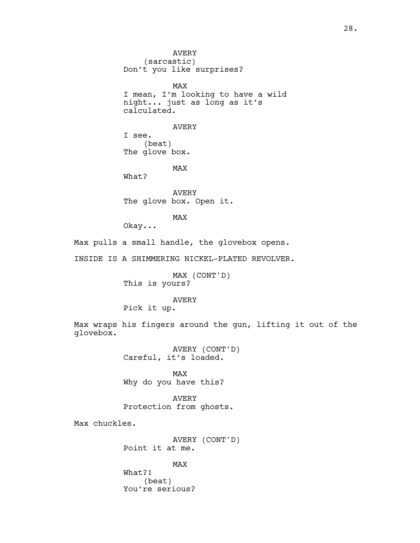AVERY (sarcastic) Don't you like surprises? MAX I mean, I'm looking to have a wild night... just as long as it's calculated. AVERY I see. (beat) The glove box. MAX What? AVERY The glove box. Open it. MAX Okay... Max pulls a small handle, the glovebox opens. INSIDE IS A SHIMMERING NICKEL-PLATED REVOLVER. MAX (CONT'D)

This is yours?

# AVERY

Pick it up.

Max wraps his fingers around the gun, lifting it out of the glovebox.

> AVERY (CONT'D) Careful, it's loaded.

MAX Why do you have this?

AVERY Protection from ghosts.

Max chuckles.

AVERY (CONT'D) Point it at me.

MAX

What?! (beat) You're serious?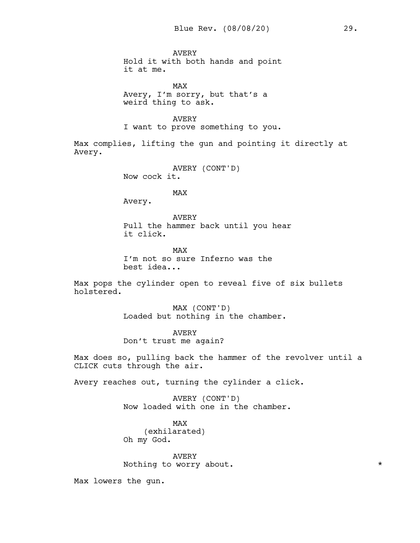AVERY Hold it with both hands and point it at me.

MAX Avery, I'm sorry, but that's a weird thing to ask.

AVERY I want to prove something to you.

Max complies, lifting the gun and pointing it directly at Avery.

> AVERY (CONT'D) Now cock it.

> > MAX

Avery.

AVERY Pull the hammer back until you hear it click.

MAX I'm not so sure Inferno was the best idea...

Max pops the cylinder open to reveal five of six bullets holstered.

> MAX (CONT'D) Loaded but nothing in the chamber.

AVERY Don't trust me again?

Max does so, pulling back the hammer of the revolver until a CLICK cuts through the air.

Avery reaches out, turning the cylinder a click.

AVERY (CONT'D) Now loaded with one in the chamber.

MAX (exhilarated) Oh my God.

AVERY Nothing to worry about.  $*$ 

Max lowers the gun.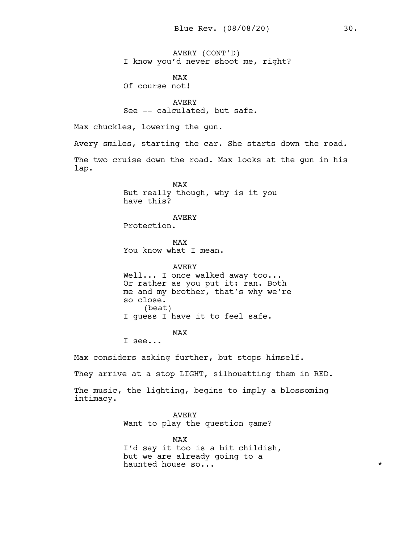AVERY (CONT'D) I know you'd never shoot me, right?

MAX Of course not!

AVERY See -- calculated, but safe.

Max chuckles, lowering the gun.

Avery smiles, starting the car. She starts down the road.

The two cruise down the road. Max looks at the gun in his lap.

> MAX But really though, why is it you have this?

# AVERY

Protection.

MAX You know what I mean.

AVERY Well... I once walked away too... Or rather as you put it: ran. Both me and my brother, that's why we're so close. (beat) I guess I have it to feel safe.

# MAX

I see...

Max considers asking further, but stops himself.

They arrive at a stop LIGHT, silhouetting them in RED.

The music, the lighting, begins to imply a blossoming intimacy.

> AVERY Want to play the question game?

MAX I'd say it too is a bit childish, but we are already going to a haunted house so...  $\star$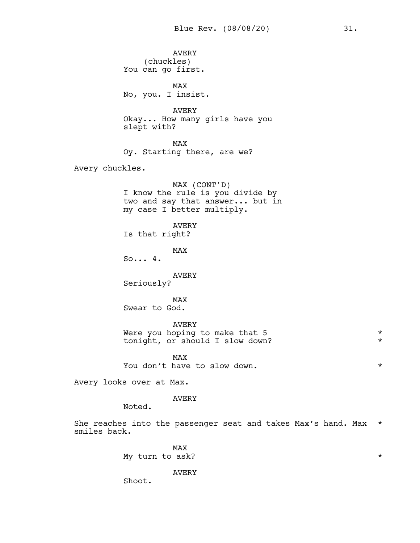AVERY (chuckles) You can go first. MAX No, you. I insist. AVERY Okay... How many girls have you slept with? MAX Oy. Starting there, are we? Avery chuckles. MAX (CONT'D) I know the rule is you divide by two and say that answer... but in my case I better multiply. AVERY Is that right? MAX So... 4. AVERY Seriously? MAX Swear to God. AVERY Were you hoping to make that 5 \* tonight, or should I slow down? \* MAX You don't have to slow down.  $*$ Avery looks over at Max. AVERY Noted. She reaches into the passenger seat and takes Max's hand. Max \* smiles back.

MAX My turn to ask?  $\star$ 

AVERY

Shoot.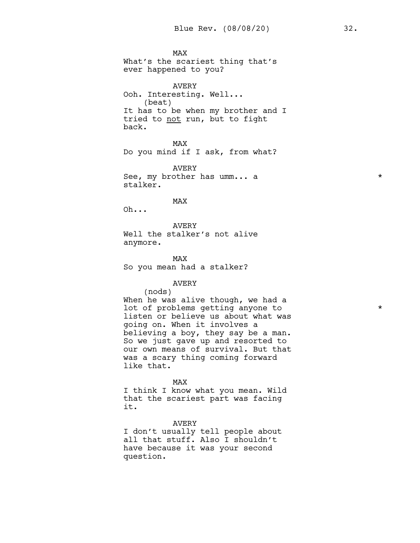MAX What's the scariest thing that's ever happened to you?

AVERY Ooh. Interesting. Well... (beat) It has to be when my brother and I tried to not run, but to fight back.

MAX Do you mind if I ask, from what?

AVERY See, my brother has umm... a  $\star$ stalker.

MAX

Oh...

AVERY Well the stalker's not alive anymore.

MAX So you mean had a stalker?

AVERY

(nods)

When he was alive though, we had a lot of problems getting anyone to  $*$ listen or believe us about what was going on. When it involves a believing a boy, they say be a man. So we just gave up and resorted to our own means of survival. But that was a scary thing coming forward like that.

MAX

I think I know what you mean. Wild that the scariest part was facing it.

AVERY

I don't usually tell people about all that stuff. Also I shouldn't have because it was your second question.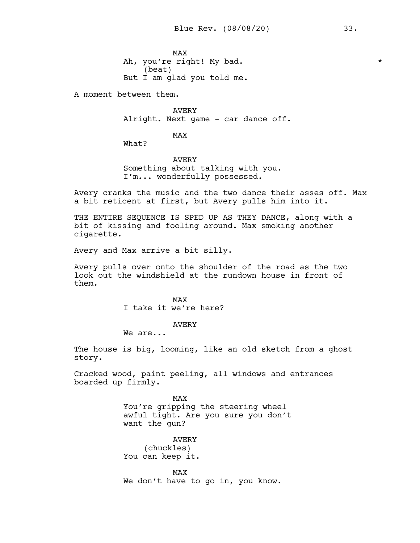MAX Ah, you're right! My bad.  $*$ (beat) But I am glad you told me.

A moment between them.

AVERY Alright. Next game - car dance off.

MAX

What?

AVERY Something about talking with you. I'm... wonderfully possessed.

Avery cranks the music and the two dance their asses off. Max a bit reticent at first, but Avery pulls him into it.

THE ENTIRE SEQUENCE IS SPED UP AS THEY DANCE, along with a bit of kissing and fooling around. Max smoking another cigarette.

Avery and Max arrive a bit silly.

Avery pulls over onto the shoulder of the road as the two look out the windshield at the rundown house in front of them.

> MAX I take it we're here?

# AVERY

We are...

The house is big, looming, like an old sketch from a ghost story.

Cracked wood, paint peeling, all windows and entrances boarded up firmly.

> MAX You're gripping the steering wheel awful tight. Are you sure you don't want the gun?

AVERY (chuckles) You can keep it.

MAX We don't have to go in, you know.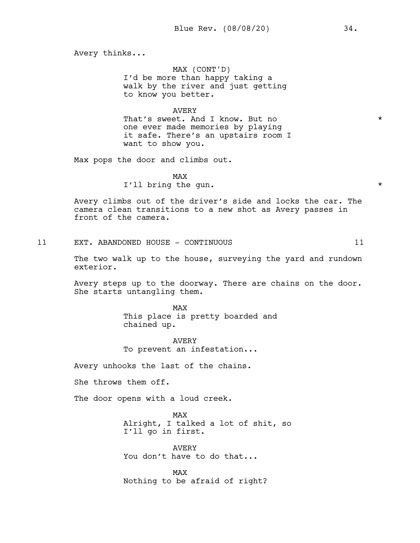Avery thinks...

MAX (CONT'D) I'd be more than happy taking a walk by the river and just getting to know you better.

# AVERY

That's sweet. And I know. But no  $*$ one ever made memories by playing it safe. There's an upstairs room I want to show you.

Max pops the door and climbs out.

MAX I'll bring the gun.  $\star$ 

Avery climbs out of the driver's side and locks the car. The camera clean transitions to a new shot as Avery passes in front of the camera.

11 EXT. ABANDONED HOUSE - CONTINUOUS 11

The two walk up to the house, surveying the yard and rundown exterior.

Avery steps up to the doorway. There are chains on the door. She starts untangling them.

> MAX This place is pretty boarded and chained up.

AVERY To prevent an infestation...

Avery unhooks the last of the chains.

She throws them off.

The door opens with a loud creek.

MAX Alright, I talked a lot of shit, so I'll go in first.

AVERY You don't have to do that...

MAX Nothing to be afraid of right?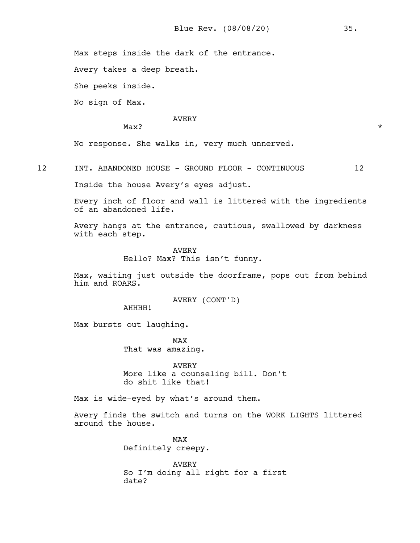Max steps inside the dark of the entrance.

Avery takes a deep breath.

She peeks inside.

No sign of Max.

#### AVERY

 $\text{Max?}$ 

No response. She walks in, very much unnerved.

12 INT. ABANDONED HOUSE - GROUND FLOOR - CONTINUOUS 12

Inside the house Avery's eyes adjust.

Every inch of floor and wall is littered with the ingredients of an abandoned life.

Avery hangs at the entrance, cautious, swallowed by darkness with each step.

> AVERY Hello? Max? This isn't funny.

Max, waiting just outside the doorframe, pops out from behind him and ROARS.

AVERY (CONT'D)

AHHHH!

Max bursts out laughing.

MAX That was amazing.

AVERY More like a counseling bill. Don't do shit like that!

Max is wide-eyed by what's around them.

Avery finds the switch and turns on the WORK LIGHTS littered around the house.

> MAX Definitely creepy.

AVERY So I'm doing all right for a first date?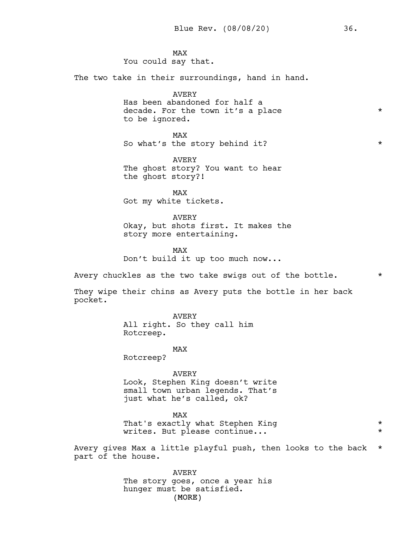MAX You could say that. The two take in their surroundings, hand in hand.

> AVERY Has been abandoned for half a decade. For the town it's a place  $*$ to be ignored.

> MAX So what's the story behind it?  $*$

AVERY The ghost story? You want to hear the ghost story?!

MAX Got my white tickets.

AVERY Okay, but shots first. It makes the story more entertaining.

MAX Don't build it up too much now...

Avery chuckles as the two take swigs out of the bottle.  $*$ 

They wipe their chins as Avery puts the bottle in her back pocket.

> AVERY All right. So they call him Rotcreep.

> > MAX

Rotcreep?

AVERY

Look, Stephen King doesn't write small town urban legends. That's just what he's called, ok?

MAX

That's exactly what Stephen King \* writes. But please continue... \*

Avery gives Max a little playful push, then looks to the back \* part of the house.

> (MORE) AVERY The story goes, once a year his hunger must be satisfied.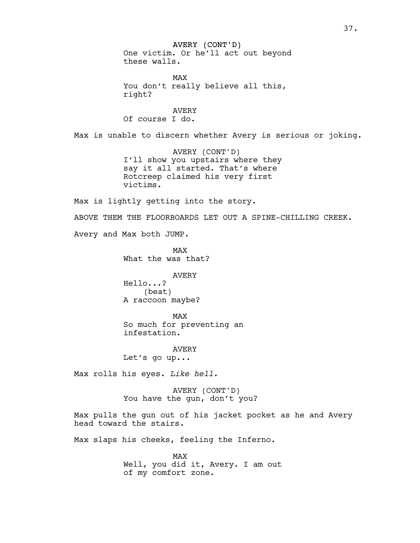AVERY (CONT'D)

One victim. Or he'll act out beyond these walls.

MAX You don't really believe all this, right?

AVERY Of course I do.

Max is unable to discern whether Avery is serious or joking.

AVERY (CONT'D) I'll show you upstairs where they say it all started. That's where Rotcreep claimed his very first victims.

Max is lightly getting into the story.

ABOVE THEM THE FLOORBOARDS LET OUT A SPINE-CHILLING CREEK.

Avery and Max both JUMP.

MAX What the was that?

AVERY Hello...? (beat)

A raccoon maybe?

MAX So much for preventing an infestation.

AVERY Let's go up...

Max rolls his eyes. *Like hell.*

AVERY (CONT'D) You have the gun, don't you?

Max pulls the gun out of his jacket pocket as he and Avery head toward the stairs.

Max slaps his cheeks, feeling the Inferno.

MAX Well, you did it, Avery. I am out of my comfort zone.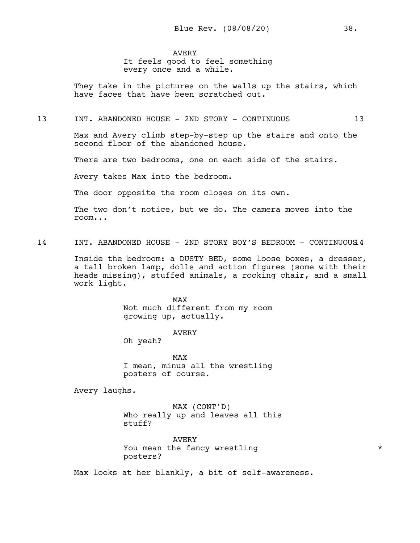AVERY

It feels good to feel something every once and a while.

They take in the pictures on the walls up the stairs, which have faces that have been scratched out.

### 13 INT. ABANDONED HOUSE - 2ND STORY - CONTINUOUS 13

Max and Avery climb step-by-step up the stairs and onto the second floor of the abandoned house.

There are two bedrooms, one on each side of the stairs.

Avery takes Max into the bedroom.

The door opposite the room closes on its own.

The two don't notice, but we do. The camera moves into the room...

14 INT. ABANDONED HOUSE - 2ND STORY BOY'S BEDROOM - CONTINUOUS14

Inside the bedroom: a DUSTY BED, some loose boxes, a dresser, a tall broken lamp, dolls and action figures (some with their heads missing), stuffed animals, a rocking chair, and a small work light.

> MAX Not much different from my room growing up, actually.

> > AVERY

Oh yeah?

MAX I mean, minus all the wrestling posters of course.

Avery laughs.

MAX (CONT'D) Who really up and leaves all this stuff?

AVERY You mean the fancy wrestling  $\star$ posters?

Max looks at her blankly, a bit of self-awareness.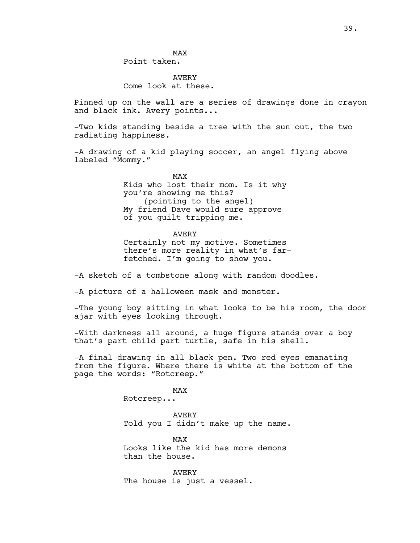# AVERY Come look at these.

Pinned up on the wall are a series of drawings done in crayon and black ink. Avery points...

-Two kids standing beside a tree with the sun out, the two radiating happiness.

-A drawing of a kid playing soccer, an angel flying above labeled "Mommy."

> MAX Kids who lost their mom. Is it why you're showing me this? (pointing to the angel) My friend Dave would sure approve of you guilt tripping me.

AVERY Certainly not my motive. Sometimes there's more reality in what's farfetched. I'm going to show you.

-A sketch of a tombstone along with random doodles.

-A picture of a halloween mask and monster.

-The young boy sitting in what looks to be his room, the door ajar with eyes looking through.

-With darkness all around, a huge figure stands over a boy that's part child part turtle, safe in his shell.

-A final drawing in all black pen. Two red eyes emanating from the figure. Where there is white at the bottom of the page the words: "Rotcreep."

> MAX Rotcreep...

AVERY Told you I didn't make up the name.

MAX Looks like the kid has more demons than the house.

AVERY The house is just a vessel.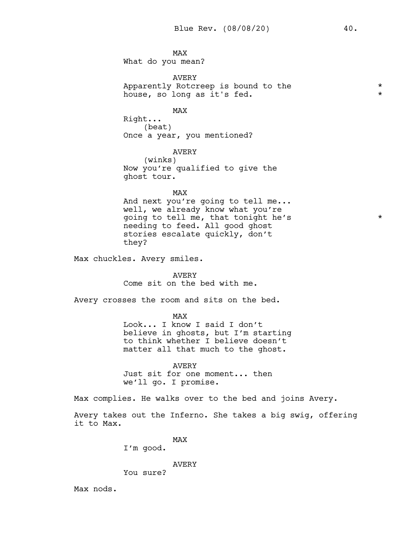MAX What do you mean?

AVERY Apparently Rotcreep is bound to the  $*$ house, so long as it's fed.  $\star$ 

MAX

Right... (beat) Once a year, you mentioned?

AVERY (winks) Now you're qualified to give the ghost tour.

MAX And next you're going to tell me... well, we already know what you're going to tell me, that tonight he's \* needing to feed. All good ghost stories escalate quickly, don't they?

Max chuckles. Avery smiles.

AVERY Come sit on the bed with me.

Avery crosses the room and sits on the bed.

MAX

Look... I know I said I don't believe in ghosts, but I'm starting to think whether I believe doesn't matter all that much to the ghost.

AVERY Just sit for one moment... then we'll go. I promise.

Max complies. He walks over to the bed and joins Avery.

Avery takes out the Inferno. She takes a big swig, offering it to Max.

MAX

I'm good.

AVERY

You sure?

Max nods.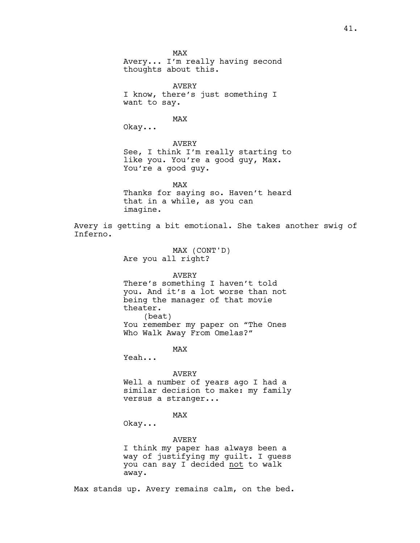MAX Avery... I'm really having second thoughts about this. AVERY I know, there's just something I want to say. MAX Okay... AVERY See, I think I'm really starting to like you. You're a good guy, Max. You're a good guy. MAX Thanks for saying so. Haven't heard that in a while, as you can imagine. Avery is getting a bit emotional. She takes another swig of Inferno. MAX (CONT'D) Are you all right? AVERY There's something I haven't told you. And it's a lot worse than not being the manager of that movie theater. (beat) You remember my paper on "The Ones Who Walk Away From Omelas?" MAX Yeah... AVERY Well a number of years ago I had a similar decision to make: my family versus a stranger... MAX Okay... AVERY I think my paper has always been a way of justifying my guilt. I guess you can say I decided not to walk away.

Max stands up. Avery remains calm, on the bed.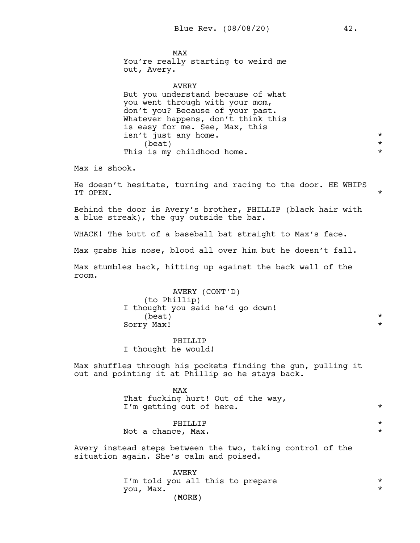MAX You're really starting to weird me out, Avery.

AVERY But you understand because of what you went through with your mom, don't you? Because of your past. Whatever happens, don't think this is easy for me. See, Max, this isn't just any home.<br>
(beat) \*  $(beat)$ This is my childhood home.  $\star$ 

Max is shook.

He doesn't hesitate, turning and racing to the door. HE WHIPS IT OPEN. \*

Behind the door is Avery's brother, PHILLIP (black hair with a blue streak), the guy outside the bar.

WHACK! The butt of a baseball bat straight to Max's face.

Max grabs his nose, blood all over him but he doesn't fall.

Max stumbles back, hitting up against the back wall of the room.

> AVERY (CONT'D) (to Phillip) I thought you said he'd go down!  $\star$ Sorry Max! \*

PHILLIP I thought he would!

Max shuffles through his pockets finding the gun, pulling it out and pointing it at Phillip so he stays back.

> MAX That fucking hurt! Out of the way, I'm getting out of here.  $\star$

> PHILLIP  $\qquad \qquad \star$ Not a chance, Max.  $\star$

Avery instead steps between the two, taking control of the situation again. She's calm and poised.

> (MORE) AVERY I'm told you all this to prepare  $*$ you, Max. \*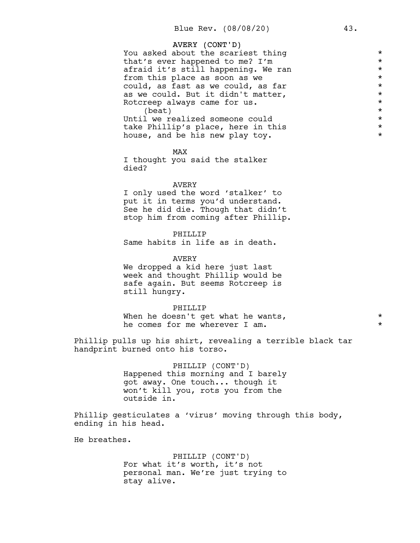# AVERY (CONT'D) You asked about the scariest thing<br>that's ever happened to me? I'm \* that's ever happened to me? I'm \* afraid it's still happening. We ran \* from this place as soon as we  $*$ could, as fast as we could, as far  $\star$ <br>as we could. But it didn't matter. as we could. But it didn't matter,<br>Rotcreep always came for us. Rotcreep always came for us.<br>
(beat) \*  $(beat)$ <br>  $1 we realized someone could$ Until we realized someone could take Phillip's place, here in this  $*$ <br>house and be his new play toy house, and be his new play toy.

MAX I thought you said the stalker died?

### AVERY

I only used the word 'stalker' to put it in terms you'd understand. See he did die. Though that didn't stop him from coming after Phillip.

### PHILLIP

Same habits in life as in death.

#### AVERY

We dropped a kid here just last week and thought Phillip would be safe again. But seems Rotcreep is still hungry.

#### PHILLIP

When he doesn't get what he wants,  $*$ he comes for me wherever I am.  $*$ 

Phillip pulls up his shirt, revealing a terrible black tar handprint burned onto his torso.

> PHILLIP (CONT'D) Happened this morning and I barely got away. One touch... though it won't kill you, rots you from the outside in.

Phillip gesticulates a 'virus' moving through this body, ending in his head.

He breathes.

PHILLIP (CONT'D) For what it's worth, it's not personal man. We're just trying to stay alive.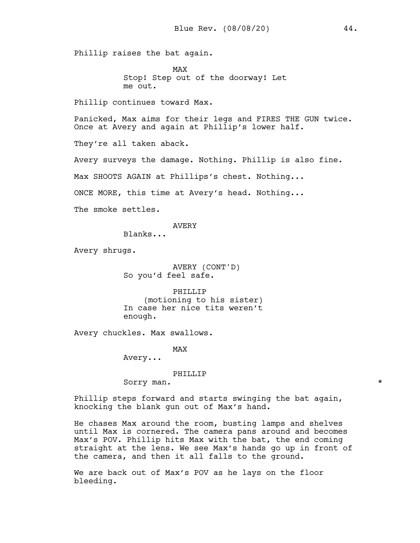Phillip raises the bat again.

MAX Stop! Step out of the doorway! Let me out.

Phillip continues toward Max.

Panicked, Max aims for their legs and FIRES THE GUN twice. Once at Avery and again at Phillip's lower half.

They're all taken aback.

Avery surveys the damage. Nothing. Phillip is also fine.

Max SHOOTS AGAIN at Phillips's chest. Nothing...

ONCE MORE, this time at Avery's head. Nothing...

The smoke settles.

AVERY

Blanks...

Avery shrugs.

AVERY (CONT'D) So you'd feel safe.

PHILLIP (motioning to his sister) In case her nice tits weren't enough.

Avery chuckles. Max swallows.

MAX

Avery...

PHILLIP

Sorry man.  $\star$ 

Phillip steps forward and starts swinging the bat again, knocking the blank gun out of Max's hand.

He chases Max around the room, busting lamps and shelves until Max is cornered. The camera pans around and becomes Max's POV. Phillip hits Max with the bat, the end coming straight at the lens. We see Max's hands go up in front of the camera, and then it all falls to the ground.

We are back out of Max's POV as he lays on the floor bleeding.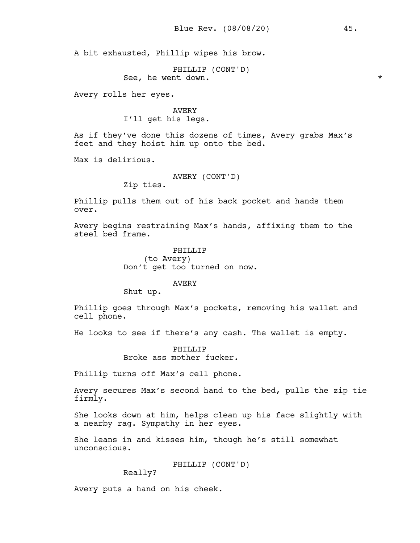A bit exhausted, Phillip wipes his brow.

PHILLIP (CONT'D) See, he went down.  $\star$ 

Avery rolls her eyes.

AVERY I'll get his legs.

As if they've done this dozens of times, Avery grabs Max's feet and they hoist him up onto the bed.

Max is delirious.

AVERY (CONT'D) Zip ties.

Phillip pulls them out of his back pocket and hands them over.

Avery begins restraining Max's hands, affixing them to the steel bed frame.

> PHILLIP (to Avery) Don't get too turned on now.

> > AVERY

Shut up.

Phillip goes through Max's pockets, removing his wallet and cell phone.

He looks to see if there's any cash. The wallet is empty.

PHTLLTP Broke ass mother fucker.

Phillip turns off Max's cell phone.

Avery secures Max's second hand to the bed, pulls the zip tie firmly.

She looks down at him, helps clean up his face slightly with a nearby rag. Sympathy in her eyes.

She leans in and kisses him, though he's still somewhat unconscious.

PHILLIP (CONT'D)

Really?

Avery puts a hand on his cheek.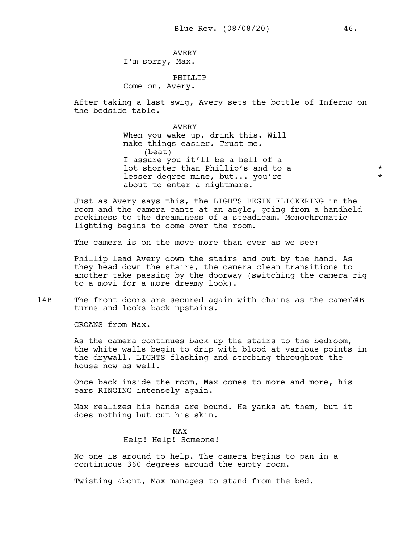AVERY I'm sorry, Max.

PHTLLTP Come on, Avery.

After taking a last swig, Avery sets the bottle of Inferno on the bedside table.

> AVERY When you wake up, drink this. Will make things easier. Trust me. (beat) I assure you it'll be a hell of a lot shorter than Phillip's and to a  $*$ lesser degree mine, but... you're  $*$ about to enter a nightmare.

Just as Avery says this, the LIGHTS BEGIN FLICKERING in the room and the camera cants at an angle, going from a handheld rockiness to the dreaminess of a steadicam. Monochromatic lighting begins to come over the room.

The camera is on the move more than ever as we see:

Phillip lead Avery down the stairs and out by the hand. As they head down the stairs, the camera clean transitions to another take passing by the doorway (switching the camera rig to a movi for a more dreamy look).

14B The front doors are secured again with chains as the cameda 4B turns and looks back upstairs.

GROANS from Max.

As the camera continues back up the stairs to the bedroom, the white walls begin to drip with blood at various points in the drywall. LIGHTS flashing and strobing throughout the house now as well.

Once back inside the room, Max comes to more and more, his ears RINGING intensely again.

Max realizes his hands are bound. He yanks at them, but it does nothing but cut his skin.

> MAX Help! Help! Someone!

No one is around to help. The camera begins to pan in a continuous 360 degrees around the empty room.

Twisting about, Max manages to stand from the bed.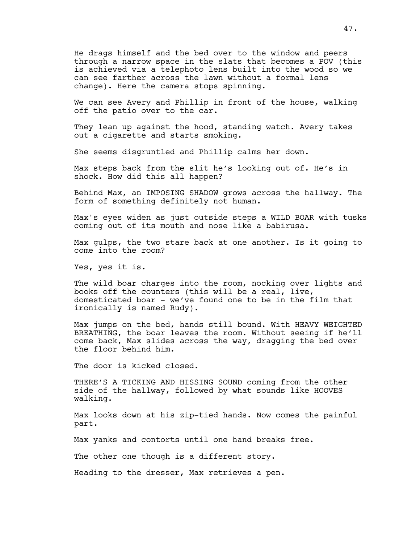He drags himself and the bed over to the window and peers through a narrow space in the slats that becomes a POV (this is achieved via a telephoto lens built into the wood so we can see farther across the lawn without a formal lens change). Here the camera stops spinning.

We can see Avery and Phillip in front of the house, walking off the patio over to the car.

They lean up against the hood, standing watch. Avery takes out a cigarette and starts smoking.

She seems disgruntled and Phillip calms her down.

Max steps back from the slit he's looking out of. He's in shock. How did this all happen?

Behind Max, an IMPOSING SHADOW grows across the hallway. The form of something definitely not human.

Max's eyes widen as just outside steps a WILD BOAR with tusks coming out of its mouth and nose like a babirusa.

Max gulps, the two stare back at one another. Is it going to come into the room?

Yes, yes it is.

The wild boar charges into the room, nocking over lights and books off the counters (this will be a real, live, domesticated boar - we've found one to be in the film that ironically is named Rudy).

Max jumps on the bed, hands still bound. With HEAVY WEIGHTED BREATHING, the boar leaves the room. Without seeing if he'll come back, Max slides across the way, dragging the bed over the floor behind him.

The door is kicked closed.

THERE'S A TICKING AND HISSING SOUND coming from the other side of the hallway, followed by what sounds like HOOVES walking.

Max looks down at his zip-tied hands. Now comes the painful part.

Max yanks and contorts until one hand breaks free.

The other one though is a different story.

Heading to the dresser, Max retrieves a pen.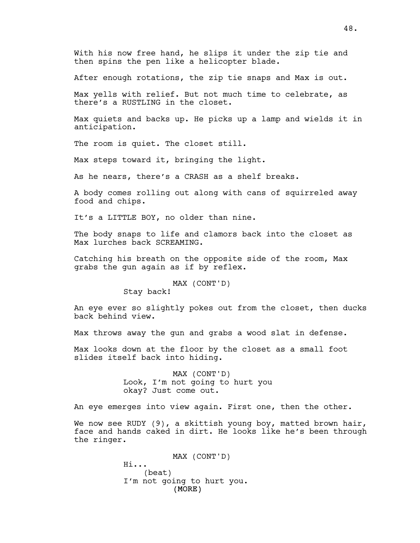With his now free hand, he slips it under the zip tie and then spins the pen like a helicopter blade.

After enough rotations, the zip tie snaps and Max is out.

Max yells with relief. But not much time to celebrate, as there's a RUSTLING in the closet.

Max quiets and backs up. He picks up a lamp and wields it in anticipation.

The room is quiet. The closet still.

Max steps toward it, bringing the light.

As he nears, there's a CRASH as a shelf breaks.

A body comes rolling out along with cans of squirreled away food and chips.

It's a LITTLE BOY, no older than nine.

The body snaps to life and clamors back into the closet as Max lurches back SCREAMING.

Catching his breath on the opposite side of the room, Max grabs the gun again as if by reflex.

MAX (CONT'D)

Stay back!

An eye ever so slightly pokes out from the closet, then ducks back behind view.

Max throws away the gun and grabs a wood slat in defense.

Max looks down at the floor by the closet as a small foot slides itself back into hiding.

> MAX (CONT'D) Look, I'm not going to hurt you okay? Just come out.

An eye emerges into view again. First one, then the other.

We now see RUDY (9), a skittish young boy, matted brown hair, face and hands caked in dirt. He looks like he's been through the ringer.

> (MORE) MAX (CONT'D) Hi... (beat) I'm not going to hurt you.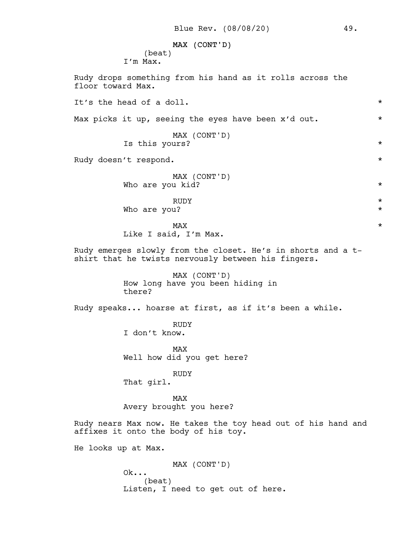# MAX (CONT'D)

(beat) I'm Max.

Rudy drops something from his hand as it rolls across the floor toward Max. It's the head of a doll. \* Max picks it up, seeing the eyes have been x'd out.  $*$ MAX (CONT'D) Is this yours?  $\star$ Rudy doesn't respond.  $\star$ MAX (CONT'D) Who are you kid?  $\star$ RUDY  $\star$ Who are you?  $\star$  $\texttt{MAX}$   $\star$ Like I said, I'm Max. Rudy emerges slowly from the closet. He's in shorts and a tshirt that he twists nervously between his fingers. MAX (CONT'D) How long have you been hiding in there? Rudy speaks... hoarse at first, as if it's been a while. RUDY I don't know. MAX Well how did you get here? RUDY That girl. MAX Avery brought you here? Rudy nears Max now. He takes the toy head out of his hand and affixes it onto the body of his toy. He looks up at Max. MAX (CONT'D)  $Ok...$ (beat) Listen, I need to get out of here.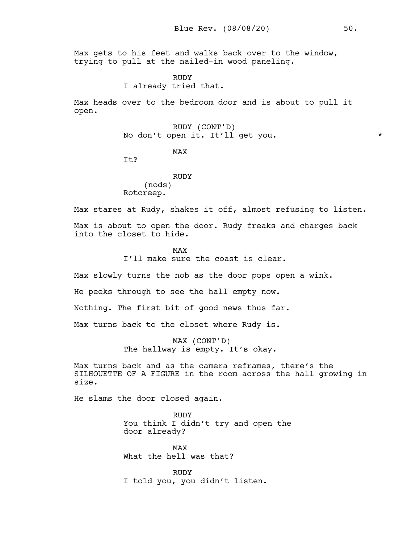Max gets to his feet and walks back over to the window, trying to pull at the nailed-in wood paneling.

> RUDY I already tried that.

Max heads over to the bedroom door and is about to pull it open.

> RUDY (CONT'D) No don't open it. It'll get you. \*

> > MAX

T<sub>t?</sub>

RUDY (nods) Rotcreep.

Max stares at Rudy, shakes it off, almost refusing to listen.

Max is about to open the door. Rudy freaks and charges back into the closet to hide.

> MAX I'll make sure the coast is clear.

Max slowly turns the nob as the door pops open a wink.

He peeks through to see the hall empty now.

Nothing. The first bit of good news thus far.

Max turns back to the closet where Rudy is.

MAX (CONT'D) The hallway is empty. It's okay.

Max turns back and as the camera reframes, there's the SILHOUETTE OF A FIGURE in the room across the hall growing in size.

He slams the door closed again.

RUDY You think I didn't try and open the door already?

MAX What the hell was that?

RUDY I told you, you didn't listen.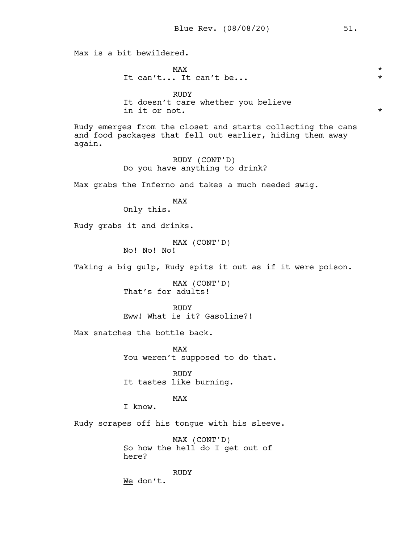Max is a bit bewildered.  $\text{MAX}$   $\star$ It can't... It can't be... \* RUDY It doesn't care whether you believe in it or not.  $\star$ Rudy emerges from the closet and starts collecting the cans and food packages that fell out earlier, hiding them away again. RUDY (CONT'D) Do you have anything to drink? Max grabs the Inferno and takes a much needed swig. MAX Only this. Rudy grabs it and drinks. MAX (CONT'D) No! No! No! Taking a big gulp, Rudy spits it out as if it were poison. MAX (CONT'D) That's for adults! RUDY Eww! What is it? Gasoline?! Max snatches the bottle back. MAX You weren't supposed to do that. RUDY It tastes like burning. MAX I know. Rudy scrapes off his tongue with his sleeve. MAX (CONT'D) So how the hell do I get out of here? RUDY We don't.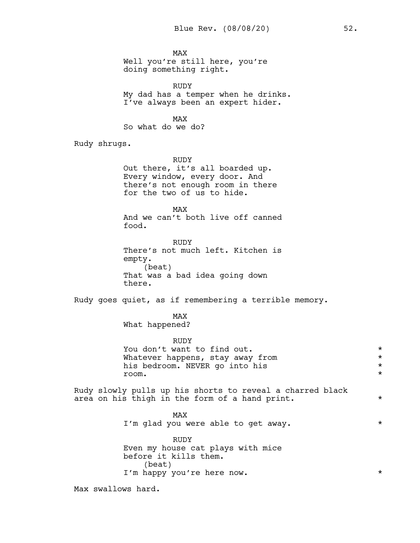MAX Well you're still here, you're doing something right.

RUDY My dad has a temper when he drinks. I've always been an expert hider.

MAX So what do we do?

Rudy shrugs.

RUDY Out there, it's all boarded up. Every window, every door. And there's not enough room in there for the two of us to hide.

MAX And we can't both live off canned food.

RUDY There's not much left. Kitchen is empty. (beat) That was a bad idea going down there.

Rudy goes quiet, as if remembering a terrible memory.

MAX What happened?

RUDY You don't want to find out.  $\star$ Whatever happens, stay away from<br>his bedroom. NEVER go into his his bedroom. NEVER go into his  $\begin{array}{ccc}\n\star \\
\star \\
\star\n\end{array}$ room. \*

Rudy slowly pulls up his shorts to reveal a charred black area on his thigh in the form of a hand print.  $*$ 

> MAX I'm glad you were able to get away.  $*$

> RUDY Even my house cat plays with mice before it kills them. (beat) I'm happy you're here now.  $\star$

Max swallows hard.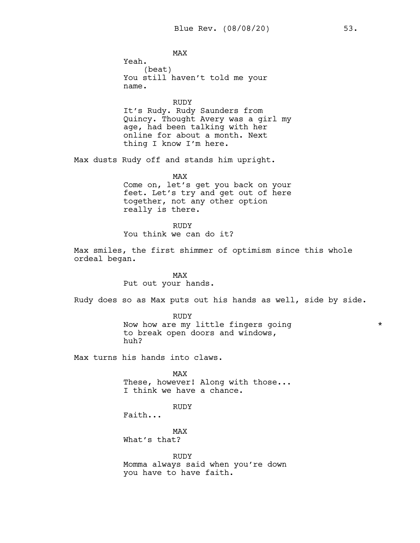MAX Yeah. (beat) You still haven't told me your name.

RUDY It's Rudy. Rudy Saunders from Quincy. Thought Avery was a girl my age, had been talking with her online for about a month. Next thing I know I'm here.

Max dusts Rudy off and stands him upright.

MAX Come on, let's get you back on your feet. Let's try and get out of here together, not any other option really is there.

RUDY You think we can do it?

Max smiles, the first shimmer of optimism since this whole ordeal began.

> MAX Put out your hands.

Rudy does so as Max puts out his hands as well, side by side.

RUDY Now how are my little fingers going \* to break open doors and windows, huh?

Max turns his hands into claws.

MAX These, however! Along with those... I think we have a chance.

RUDY

MAX

Faith...

What's that?

RUDY Momma always said when you're down you have to have faith.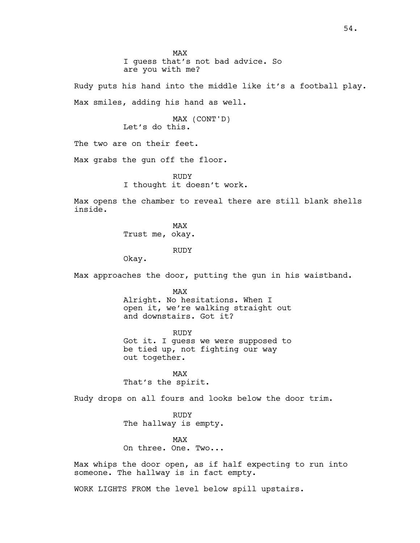MAX I guess that's not bad advice. So are you with me?

Rudy puts his hand into the middle like it's a football play. Max smiles, adding his hand as well.

> MAX (CONT'D) Let's do this.

The two are on their feet.

Max grabs the gun off the floor.

RUDY I thought it doesn't work.

Max opens the chamber to reveal there are still blank shells inside.

> MAX Trust me, okay.

> > RUDY

Okay.

Max approaches the door, putting the gun in his waistband.

MAX

Alright. No hesitations. When I open it, we're walking straight out and downstairs. Got it?

RUDY Got it. I guess we were supposed to be tied up, not fighting our way out together.

MAX That's the spirit.

Rudy drops on all fours and looks below the door trim.

RUDY The hallway is empty.

MAX On three. One. Two...

Max whips the door open, as if half expecting to run into someone. The hallway is in fact empty.

WORK LIGHTS FROM the level below spill upstairs.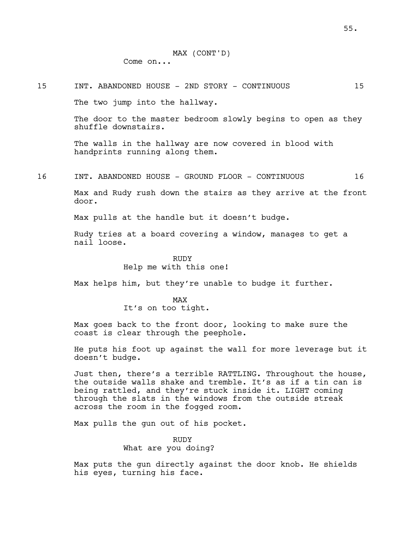### 15 INT. ABANDONED HOUSE - 2ND STORY - CONTINUOUS 15

The two jump into the hallway.

The door to the master bedroom slowly begins to open as they shuffle downstairs.

The walls in the hallway are now covered in blood with handprints running along them.

16 INT. ABANDONED HOUSE - GROUND FLOOR - CONTINUOUS 16

Max and Rudy rush down the stairs as they arrive at the front door.

Max pulls at the handle but it doesn't budge.

Rudy tries at a board covering a window, manages to get a nail loose.

> RUDY Help me with this one!

Max helps him, but they're unable to budge it further.

MAX It's on too tight.

Max goes back to the front door, looking to make sure the coast is clear through the peephole.

He puts his foot up against the wall for more leverage but it doesn't budge.

Just then, there's a terrible RATTLING. Throughout the house, the outside walls shake and tremble. It's as if a tin can is being rattled, and they're stuck inside it. LIGHT coming through the slats in the windows from the outside streak across the room in the fogged room.

Max pulls the gun out of his pocket.

# RUDY What are you doing?

Max puts the gun directly against the door knob. He shields his eyes, turning his face.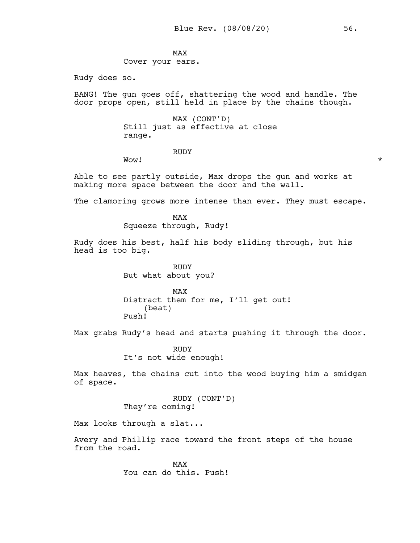MAX Cover your ears.

Rudy does so.

BANG! The gun goes off, shattering the wood and handle. The door props open, still held in place by the chains though.

> MAX (CONT'D) Still just as effective at close range.

#### RUDY

Wow!  $\star$ 

Able to see partly outside, Max drops the gun and works at making more space between the door and the wall.

The clamoring grows more intense than ever. They must escape.

MAX Squeeze through, Rudy!

Rudy does his best, half his body sliding through, but his head is too big.

> RUDY But what about you?

MAX Distract them for me, I'll get out! (beat) Push!

Max grabs Rudy's head and starts pushing it through the door.

RUDY It's not wide enough!

Max heaves, the chains cut into the wood buying him a smidgen of space.

> RUDY (CONT'D) They're coming!

Max looks through a slat...

Avery and Phillip race toward the front steps of the house from the road.

> MAX You can do this. Push!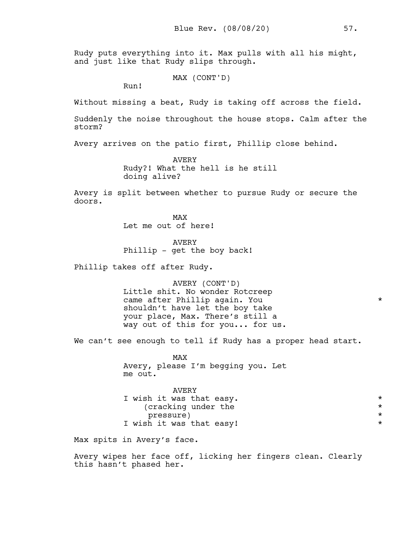Rudy puts everything into it. Max pulls with all his might, and just like that Rudy slips through.

MAX (CONT'D)

Run!

Without missing a beat, Rudy is taking off across the field.

Suddenly the noise throughout the house stops. Calm after the storm?

Avery arrives on the patio first, Phillip close behind.

AVERY Rudy?! What the hell is he still doing alive?

Avery is split between whether to pursue Rudy or secure the doors.

> MAX Let me out of here!

AVERY Phillip - get the boy back!

Phillip takes off after Rudy.

AVERY (CONT'D) Little shit. No wonder Rotcreep came after Phillip again. You shouldn't have let the boy take your place, Max. There's still a way out of this for you... for us.

We can't see enough to tell if Rudy has a proper head start.

MAX Avery, please I'm begging you. Let me out.

| AVERY                    |         |
|--------------------------|---------|
| I wish it was that easy. | $\star$ |
| (cracking under the      | $\star$ |
| pressure)                | $\star$ |
| I wish it was that easy! | $\star$ |

Max spits in Avery's face.

Avery wipes her face off, licking her fingers clean. Clearly this hasn't phased her.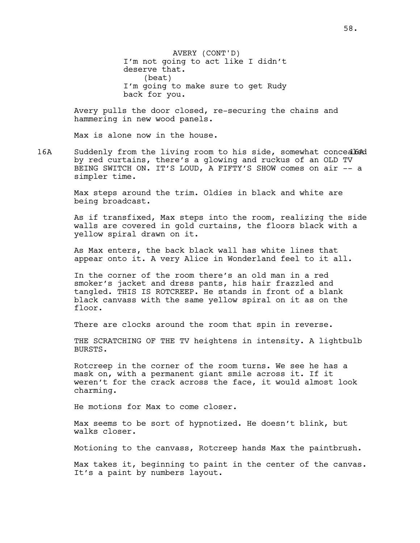AVERY (CONT'D) I'm not going to act like I didn't deserve that. (beat) I'm going to make sure to get Rudy back for you.

Avery pulls the door closed, re-securing the chains and hammering in new wood panels.

Max is alone now in the house.

16A Suddenly from the living room to his side, somewhat concealed by red curtains, there's a glowing and ruckus of an OLD TV BEING SWITCH ON. IT'S LOUD, A FIFTY'S SHOW comes on air -- a simpler time.

> Max steps around the trim. Oldies in black and white are being broadcast.

As if transfixed, Max steps into the room, realizing the side walls are covered in gold curtains, the floors black with a yellow spiral drawn on it.

As Max enters, the back black wall has white lines that appear onto it. A very Alice in Wonderland feel to it all.

In the corner of the room there's an old man in a red smoker's jacket and dress pants, his hair frazzled and tangled. THIS IS ROTCREEP. He stands in front of a blank black canvass with the same yellow spiral on it as on the floor.

There are clocks around the room that spin in reverse.

THE SCRATCHING OF THE TV heightens in intensity. A lightbulb BURSTS.

Rotcreep in the corner of the room turns. We see he has a mask on, with a permanent giant smile across it. If it weren't for the crack across the face, it would almost look charming.

He motions for Max to come closer.

Max seems to be sort of hypnotized. He doesn't blink, but walks closer.

Motioning to the canvass, Rotcreep hands Max the paintbrush.

Max takes it, beginning to paint in the center of the canvas. It's a paint by numbers layout.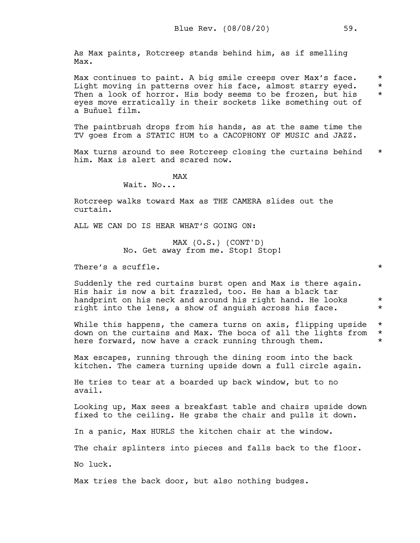As Max paints, Rotcreep stands behind him, as if smelling Max.

Max continues to paint. A big smile creeps over Max's face. \* Light moving in patterns over his face, almost starry eyed. \* Then a look of horror. His body seems to be frozen, but his  $*$ eyes move erratically in their sockets like something out of a Buñuel film.

The paintbrush drops from his hands, as at the same time the TV goes from a STATIC HUM to a CACOPHONY OF MUSIC and JAZZ.

Max turns around to see Rotcreep closing the curtains behind  $*$ him. Max is alert and scared now.

MAX

Wait. No...

Rotcreep walks toward Max as THE CAMERA slides out the curtain.

ALL WE CAN DO IS HEAR WHAT'S GOING ON:

MAX (O.S.) (CONT'D) No. Get away from me. Stop! Stop!

There's a scuffle.  $\star$ 

Suddenly the red curtains burst open and Max is there again. His hair is now a bit frazzled, too. He has a black tar handprint on his neck and around his right hand. He looks  $*$ right into the lens, a show of anguish across his face.

While this happens, the camera turns on axis, flipping upside  $*$ down on the curtains and Max. The boca of all the lights from \* here forward, now have a crack running through them.  $*$ 

Max escapes, running through the dining room into the back kitchen. The camera turning upside down a full circle again.

He tries to tear at a boarded up back window, but to no avail.

Looking up, Max sees a breakfast table and chairs upside down fixed to the ceiling. He grabs the chair and pulls it down.

In a panic, Max HURLS the kitchen chair at the window.

The chair splinters into pieces and falls back to the floor.

No luck.

Max tries the back door, but also nothing budges.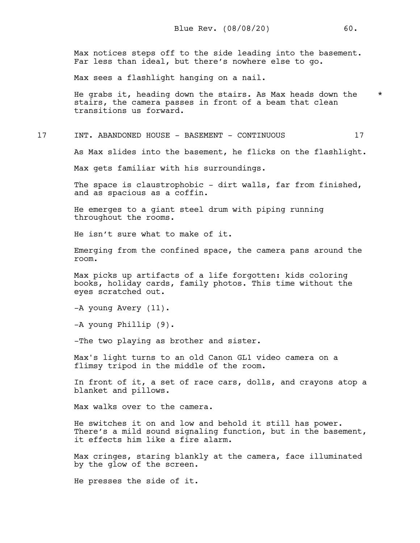Max notices steps off to the side leading into the basement. Far less than ideal, but there's nowhere else to go.

Max sees a flashlight hanging on a nail.

He grabs it, heading down the stairs. As Max heads down the  $*$ stairs, the camera passes in front of a beam that clean transitions us forward.

17 INT. ABANDONED HOUSE - BASEMENT - CONTINUOUS 17

As Max slides into the basement, he flicks on the flashlight.

Max gets familiar with his surroundings.

The space is claustrophobic - dirt walls, far from finished, and as spacious as a coffin.

He emerges to a giant steel drum with piping running throughout the rooms.

He isn't sure what to make of it.

Emerging from the confined space, the camera pans around the room.

Max picks up artifacts of a life forgotten: kids coloring books, holiday cards, family photos. This time without the eyes scratched out.

-A young Avery (11).

-A young Phillip (9).

-The two playing as brother and sister.

Max's light turns to an old Canon GL1 video camera on a flimsy tripod in the middle of the room.

In front of it, a set of race cars, dolls, and crayons atop a blanket and pillows.

Max walks over to the camera.

He switches it on and low and behold it still has power. There's a mild sound signaling function, but in the basement, it effects him like a fire alarm.

Max cringes, staring blankly at the camera, face illuminated by the glow of the screen.

He presses the side of it.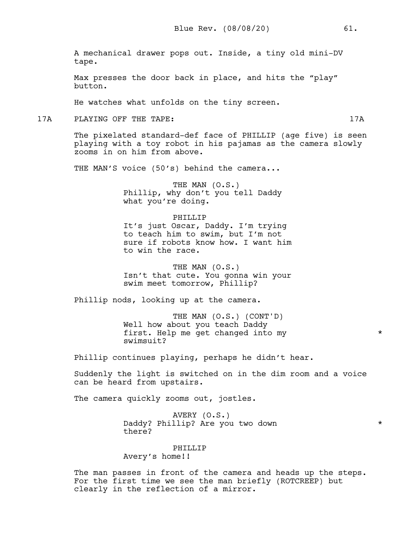A mechanical drawer pops out. Inside, a tiny old mini-DV tape.

Max presses the door back in place, and hits the "play" button.

He watches what unfolds on the tiny screen.

17A PLAYING OFF THE TAPE: 17A

The pixelated standard-def face of PHILLIP (age five) is seen playing with a toy robot in his pajamas as the camera slowly zooms in on him from above.

THE MAN'S voice (50's) behind the camera...

THE MAN (O.S.) Phillip, why don't you tell Daddy what you're doing.

#### PHILLIP

It's just Oscar, Daddy. I'm trying to teach him to swim, but I'm not sure if robots know how. I want him to win the race.

THE MAN (O.S.) Isn't that cute. You gonna win your swim meet tomorrow, Phillip?

Phillip nods, looking up at the camera.

THE MAN (O.S.) (CONT'D) Well how about you teach Daddy first. Help me get changed into my  $*$ swimsuit?

Phillip continues playing, perhaps he didn't hear.

Suddenly the light is switched on in the dim room and a voice can be heard from upstairs.

The camera quickly zooms out, jostles.

AVERY (O.S.) Daddy? Phillip? Are you two down \* there?

# PHILLIP

Avery's home!!

The man passes in front of the camera and heads up the steps. For the first time we see the man briefly (ROTCREEP) but clearly in the reflection of a mirror.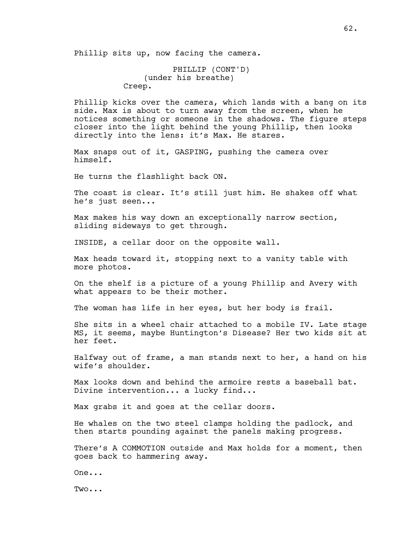Phillip sits up, now facing the camera.

PHILLIP (CONT'D) (under his breathe) Creep.

Phillip kicks over the camera, which lands with a bang on its side. Max is about to turn away from the screen, when he notices something or someone in the shadows. The figure steps closer into the light behind the young Phillip, then looks directly into the lens: it's Max. He stares.

Max snaps out of it, GASPING, pushing the camera over himself.

He turns the flashlight back ON.

The coast is clear. It's still just him. He shakes off what he's just seen...

Max makes his way down an exceptionally narrow section, sliding sideways to get through.

INSIDE, a cellar door on the opposite wall.

Max heads toward it, stopping next to a vanity table with more photos.

On the shelf is a picture of a young Phillip and Avery with what appears to be their mother.

The woman has life in her eyes, but her body is frail.

She sits in a wheel chair attached to a mobile IV. Late stage MS, it seems, maybe Huntington's Disease? Her two kids sit at her feet.

Halfway out of frame, a man stands next to her, a hand on his wife's shoulder.

Max looks down and behind the armoire rests a baseball bat. Divine intervention... a lucky find...

Max grabs it and goes at the cellar doors.

He whales on the two steel clamps holding the padlock, and then starts pounding against the panels making progress.

There's A COMMOTION outside and Max holds for a moment, then goes back to hammering away.

One...

Two...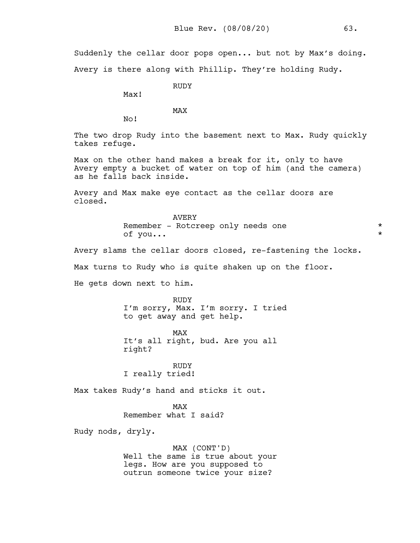Suddenly the cellar door pops open... but not by Max's doing. Avery is there along with Phillip. They're holding Rudy.

RUDY

Max!

MAX

No!

The two drop Rudy into the basement next to Max. Rudy quickly takes refuge.

Max on the other hand makes a break for it, only to have Avery empty a bucket of water on top of him (and the camera) as he falls back inside.

Avery and Max make eye contact as the cellar doors are closed.

> AVERY Remember - Rotcreep only needs one \* \* \* \* \* \* \* \* \* \* \* \* of you...

Avery slams the cellar doors closed, re-fastening the locks.

Max turns to Rudy who is quite shaken up on the floor.

He gets down next to him.

RUDY I'm sorry, Max. I'm sorry. I tried to get away and get help.

MAX It's all right, bud. Are you all right?

RUDY I really tried!

Max takes Rudy's hand and sticks it out.

MAX Remember what I said?

Rudy nods, dryly.

MAX (CONT'D) Well the same is true about your legs. How are you supposed to outrun someone twice your size?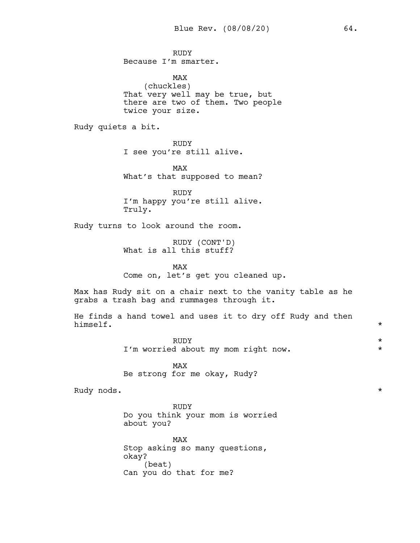RUDY Because I'm smarter.

MAX (chuckles) That very well may be true, but there are two of them. Two people twice your size.

Rudy quiets a bit.

RUDY I see you're still alive.

MAX What's that supposed to mean?

RUDY I'm happy you're still alive. Truly.

Rudy turns to look around the room.

RUDY (CONT'D) What is all this stuff?

MAX Come on, let's get you cleaned up.

Max has Rudy sit on a chair next to the vanity table as he grabs a trash bag and rummages through it.

He finds a hand towel and uses it to dry off Rudy and then himself. himself. \*

> RUDY  $\star$ I'm worried about my mom right now.  $\star$

MAX Be strong for me okay, Rudy?

Rudy nods.  $\star$ 

RUDY Do you think your mom is worried about you?

MAX Stop asking so many questions, okay? (beat) Can you do that for me?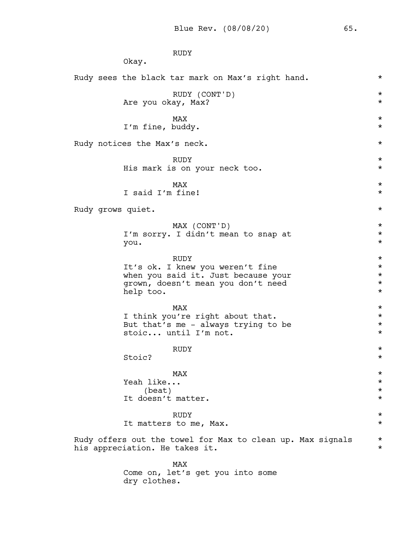RUDY Okay. Rudy sees the black tar mark on Max's right hand.  $*$ RUDY (CONT'D) \* Are you okay, Max?  $\texttt{MAX}$   $\star$ I'm fine, buddy. \* Rudy notices the Max's neck.  $\star$ RUDY  $\star$ His mark is on your neck too. \*  $\texttt{MAX}$   $\star$ I said I'm fine! \* Rudy grows quiet.  $\star$ MAX (CONT'D) \* I'm sorry. I didn't mean to snap at  $*$ you. \* RUDY  $\star$ It's ok. I knew you weren't fine \* when you said it. Just because your  $*$ <br>grown, doesn't mean you don't need  $*$ grown, doesn't mean you don't need \* help too.  $\star$  $\texttt{MAX}$   $\star$ I think you're right about that.<br>But that's me - always trying to be  $*$ But that's me - always trying to be  $*$ <br>stoic... until I'm not. stoic... until I'm not. RUDY  $\star$ Stoic?  $\star$  $\texttt{MAX}$   $\star$ Yeah like... \*  $\star$ It doesn't matter.  $\star$ RUDY  $\star$ It matters to me, Max.  $*$ Rudy offers out the towel for Max to clean up. Max signals  $*$ his appreciation. He takes it.  $\qquad \qquad \star$ MAX Come on, let's get you into some dry clothes.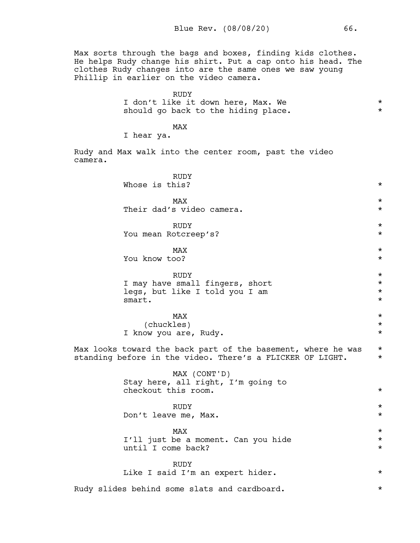Max sorts through the bags and boxes, finding kids clothes. He helps Rudy change his shirt. Put a cap onto his head. The clothes Rudy changes into are the same ones we saw young Phillip in earlier on the video camera.

| <b>RUDY</b>                         |  |
|-------------------------------------|--|
| I don't like it down here, Max. We  |  |
| should go back to the hiding place. |  |

# MAX

I hear ya.

Rudy and Max walk into the center room, past the video camera.

| <b>RUDY</b><br>Whose is this?                                                                                             | $^\star$ |  |
|---------------------------------------------------------------------------------------------------------------------------|----------|--|
| <b>MAX</b>                                                                                                                | $\star$  |  |
| Their dad's video camera.                                                                                                 | $^\star$ |  |
| <b>RUDY</b>                                                                                                               | $\star$  |  |
| You mean Rotcreep's?                                                                                                      | $^\star$ |  |
| MAX                                                                                                                       | $^\star$ |  |
| You know too?                                                                                                             | $^\star$ |  |
| <b>RUDY</b>                                                                                                               | $\star$  |  |
| I may have small fingers, short                                                                                           | $^\star$ |  |
| legs, but like I told you I am                                                                                            | $^\star$ |  |
| smart.                                                                                                                    | $\star$  |  |
| MAX                                                                                                                       | $^\star$ |  |
| (chuckles)                                                                                                                | $^\star$ |  |
| I know you are, Rudy.                                                                                                     | $\star$  |  |
| Max looks toward the back part of the basement, where he was<br>standing before in the video. There's a FLICKER OF LIGHT. |          |  |
| MAX (CONT'D)<br>Stay here, all right, I'm going to<br>checkout this room.                                                 | $^\star$ |  |
| <b>RUDY</b>                                                                                                               | $^\star$ |  |
| Don't leave me, Max.                                                                                                      | $^\star$ |  |
| <b>MAX</b>                                                                                                                | $\star$  |  |
| I'll just be a moment. Can you hide                                                                                       | $\star$  |  |
| until I come back?                                                                                                        | $^\star$ |  |
| <b>RUDY</b><br>Like I said I'm an expert hider.                                                                           | $^\star$ |  |
| Rudy slides behind some slats and cardboard.                                                                              | $^\star$ |  |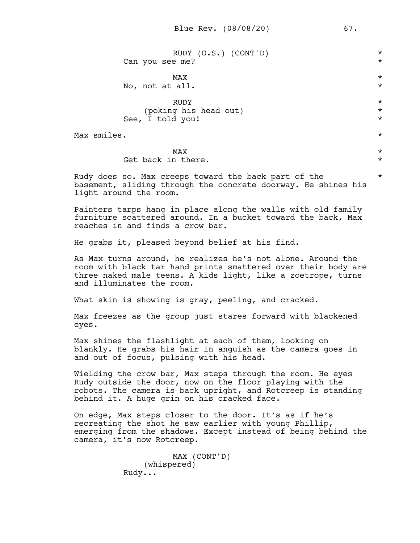| RUDY (O.S.) (CONT'D)<br>Can you see me?                                                                                                                                                                                               | $^\star$<br>$\star$           |  |  |  |
|---------------------------------------------------------------------------------------------------------------------------------------------------------------------------------------------------------------------------------------|-------------------------------|--|--|--|
| MAX<br>No, not at all.                                                                                                                                                                                                                | $\star$<br>$^\star$           |  |  |  |
| <b>RUDY</b><br>(poking his head out)<br>See, I told you!                                                                                                                                                                              | $\star$<br>$\star$<br>$\star$ |  |  |  |
| Max smiles.<br>$\star$                                                                                                                                                                                                                |                               |  |  |  |
| MAX<br>Get back in there.                                                                                                                                                                                                             | $\star$<br>$\star$            |  |  |  |
| $^\star$<br>Rudy does so. Max creeps toward the back part of the<br>basement, sliding through the concrete doorway. He shines his<br>light around the room.                                                                           |                               |  |  |  |
| Painters tarps hang in place along the walls with old family<br>furniture scattered around. In a bucket toward the back, Max<br>reaches in and finds a crow bar.                                                                      |                               |  |  |  |
| He grabs it, pleased beyond belief at his find.                                                                                                                                                                                       |                               |  |  |  |
| As Max turns around, he realizes he's not alone. Around the<br>room with black tar hand prints smattered over their body are<br>three naked male teens. A kids light, like a zoetrope, turns<br>and illuminates the room.             |                               |  |  |  |
| What skin is showing is gray, peeling, and cracked.                                                                                                                                                                                   |                               |  |  |  |
| Max freezes as the group just stares forward with blackened<br>eyes.                                                                                                                                                                  |                               |  |  |  |
| Max shines the flashlight at each of them, looking on<br>blankly. He grabs his hair in anguish as the camera goes in<br>and out of focus, pulsing with his head.                                                                      |                               |  |  |  |
| Wielding the crow bar, Max steps through the room. He eyes<br>Rudy outside the door, now on the floor playing with the<br>robots. The camera is back upright, and Rotcreep is standing<br>behind it. A huge grin on his cracked face. |                               |  |  |  |
| On edge, Max steps closer to the door. It's as if he's<br>recreating the shot he saw earlier with young Phillip,<br>emerging from the shadows. Except instead of being behind the<br>camera, it's now Rotcreep.                       |                               |  |  |  |

MAX (CONT'D) (whispered) Rudy...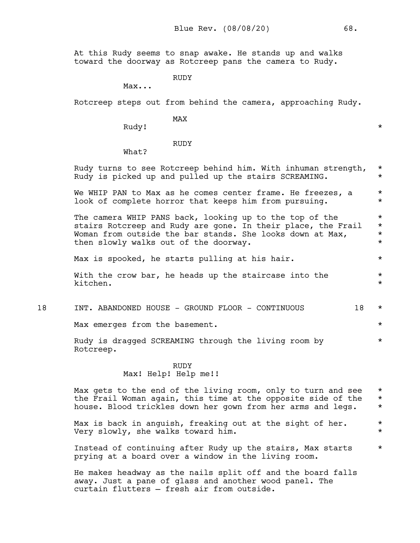At this Rudy seems to snap awake. He stands up and walks toward the doorway as Rotcreep pans the camera to Rudy.

RUDY

Max...

Rotcreep steps out from behind the camera, approaching Rudy.

MAX

curtain flutters — fresh air from outside.

Rudy! \*

RUDY

What?

Rudy turns to see Rotcreep behind him. With inhuman strength, \* Rudy is picked up and pulled up the stairs SCREAMING.  $*$ We WHIP PAN to Max as he comes center frame. He freezes,  $a \rightarrow \ast$ look of complete horror that keeps him from pursuing.  $*$ The camera WHIP PANS back, looking up to the top of the  $*$ stairs Rotcreep and Rudy are gone. In their place, the Frail \* Woman from outside the bar stands. She looks down at Max,  $*$ then slowly walks out of the doorway.  $*$ Max is spooked, he starts pulling at his hair.  $*$ With the crow bar, he heads up the staircase into the  $*$ kitchen. \* 18 INT. ABANDONED HOUSE - GROUND FLOOR - CONTINUOUS 18 \* Max emerges from the basement.  $*$ Rudy is dragged SCREAMING through the living room by  $*$ Rotcreep. RUDY Max! Help! Help me!! Max gets to the end of the living room, only to turn and see  $*$ the Frail Woman again, this time at the opposite side of the \* house. Blood trickles down her gown from her arms and legs. \* Max is back in anguish, freaking out at the sight of her.  $*$ Very slowly, she walks toward him. \* Instead of continuing after Rudy up the stairs, Max starts  $*$ prying at a board over a window in the living room. He makes headway as the nails split off and the board falls away. Just a pane of glass and another wood panel. The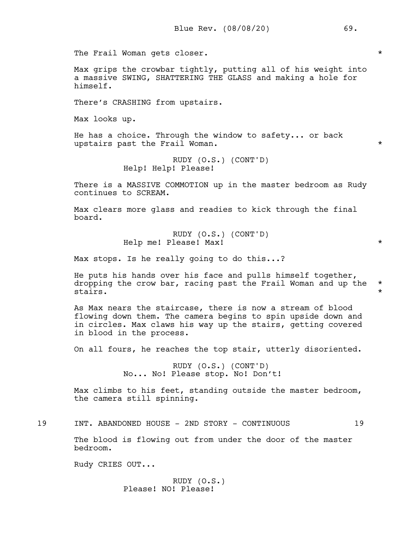The Frail Woman gets closer.  $\star$ 

Max grips the crowbar tightly, putting all of his weight into a massive SWING, SHATTERING THE GLASS and making a hole for himself.

There's CRASHING from upstairs.

Max looks up.

He has a choice. Through the window to safety... or back upstairs past the Frail Woman.  $*$ 

> RUDY (O.S.) (CONT'D) Help! Help! Please!

There is a MASSIVE COMMOTION up in the master bedroom as Rudy continues to SCREAM.

Max clears more glass and readies to kick through the final board.

> RUDY (O.S.) (CONT'D) Help me! Please! Max! \*

Max stops. Is he really going to do this...?

He puts his hands over his face and pulls himself together, dropping the crow bar, racing past the Frail Woman and up the  $*$ stairs. \*

As Max nears the staircase, there is now a stream of blood flowing down them. The camera begins to spin upside down and in circles. Max claws his way up the stairs, getting covered in blood in the process.

On all fours, he reaches the top stair, utterly disoriented.

RUDY (O.S.) (CONT'D) No... No! Please stop. No! Don't!

Max climbs to his feet, standing outside the master bedroom, the camera still spinning.

19 INT. ABANDONED HOUSE - 2ND STORY - CONTINUOUS 19

The blood is flowing out from under the door of the master bedroom.

Rudy CRIES OUT...

RUDY (O.S.) Please! NO! Please!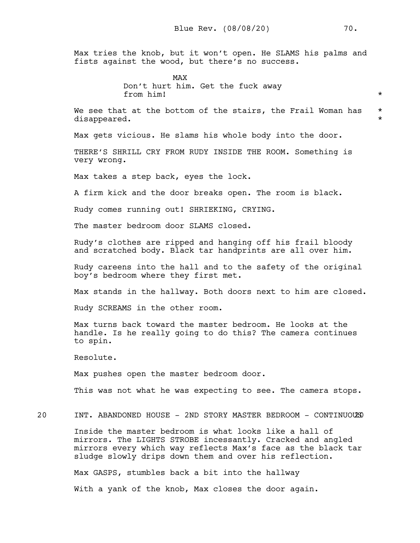Max tries the knob, but it won't open. He SLAMS his palms and fists against the wood, but there's no success.

> MAX Don't hurt him. Get the fuck away from him!  $\star$

We see that at the bottom of the stairs, the Frail Woman has  $*$ disappeared.

Max gets vicious. He slams his whole body into the door.

THERE'S SHRILL CRY FROM RUDY INSIDE THE ROOM. Something is very wrong.

Max takes a step back, eyes the lock.

A firm kick and the door breaks open. The room is black.

Rudy comes running out! SHRIEKING, CRYING.

The master bedroom door SLAMS closed.

Rudy's clothes are ripped and hanging off his frail bloody and scratched body. Black tar handprints are all over him.

Rudy careens into the hall and to the safety of the original boy's bedroom where they first met.

Max stands in the hallway. Both doors next to him are closed.

Rudy SCREAMS in the other room.

Max turns back toward the master bedroom. He looks at the handle. Is he really going to do this? The camera continues to spin.

Resolute.

Max pushes open the master bedroom door.

This was not what he was expecting to see. The camera stops.

20 INT. ABANDONED HOUSE - 2ND STORY MASTER BEDROOM - CONTINUOUS20

Inside the master bedroom is what looks like a hall of mirrors. The LIGHTS STROBE incessantly. Cracked and angled mirrors every which way reflects Max's face as the black tar sludge slowly drips down them and over his reflection.

Max GASPS, stumbles back a bit into the hallway

With a yank of the knob, Max closes the door again.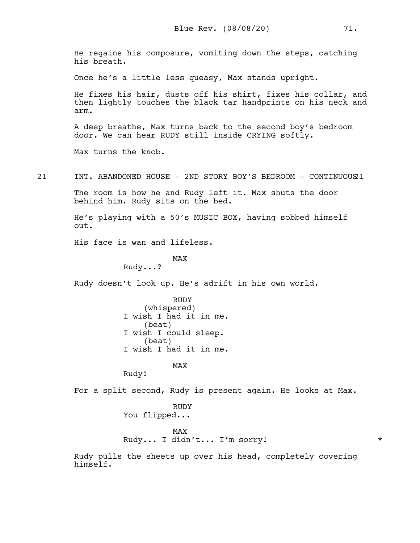He regains his composure, vomiting down the steps, catching his breath.

Once he's a little less queasy, Max stands upright.

He fixes his hair, dusts off his shirt, fixes his collar, and then lightly touches the black tar handprints on his neck and arm.

A deep breathe, Max turns back to the second boy's bedroom door. We can hear RUDY still inside CRYING softly.

Max turns the knob.

21 INT. ABANDONED HOUSE - 2ND STORY BOY'S BEDROOM - CONTINUOUS21

The room is how he and Rudy left it. Max shuts the door behind him. Rudy sits on the bed.

He's playing with a 50's MUSIC BOX, having sobbed himself out.

His face is wan and lifeless.

MAX

Rudy...?

Rudy doesn't look up. He's adrift in his own world.

RUDY (whispered) I wish I had it in me. (beat) I wish I could sleep. (beat) I wish I had it in me.

MAX

Rudy!

For a split second, Rudy is present again. He looks at Max.

RUDY You flipped...

MAX Rudy... I didn't... I'm sorry! \*

Rudy pulls the sheets up over his head, completely covering himself.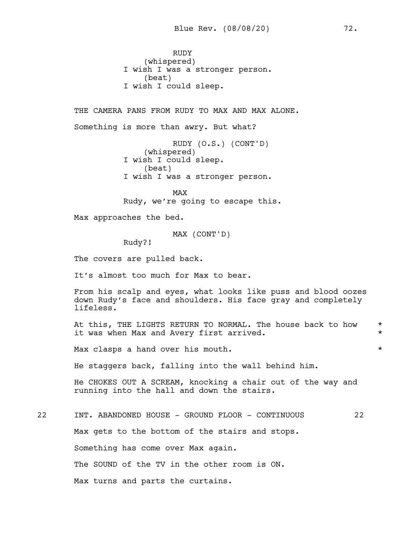RUDY (whispered) I wish I was a stronger person. (beat) I wish I could sleep.

THE CAMERA PANS FROM RUDY TO MAX AND MAX ALONE. Something is more than awry. But what? RUDY (O.S.) (CONT'D) (whispered) I wish I could sleep. (beat) I wish I was a stronger person. MAX Rudy, we're going to escape this. Max approaches the bed. MAX (CONT'D) Rudy?! The covers are pulled back. It's almost too much for Max to bear. From his scalp and eyes, what looks like puss and blood oozes down Rudy's face and shoulders. His face gray and completely lifeless. At this, THE LIGHTS RETURN TO NORMAL. The house back to how \* it was when Max and Avery first arrived.  $*$ Max clasps a hand over his mouth.  $\star$ He staggers back, falling into the wall behind him. He CHOKES OUT A SCREAM, knocking a chair out of the way and running into the hall and down the stairs. 22 INT. ABANDONED HOUSE - GROUND FLOOR - CONTINUOUS 22 Max gets to the bottom of the stairs and stops. Something has come over Max again. The SOUND of the TV in the other room is ON. Max turns and parts the curtains.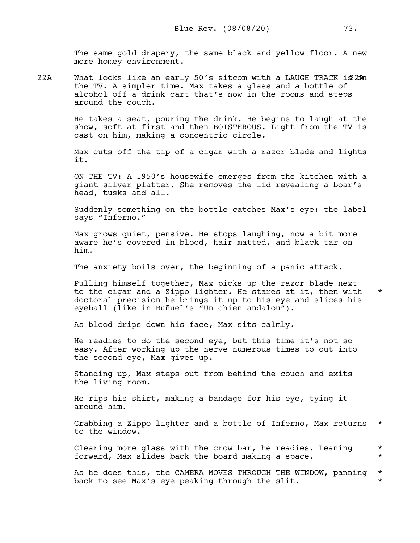The same gold drapery, the same black and yellow floor. A new more homey environment.

22A What looks like an early  $50'$ s sitcom with a LAUGH TRACK i $22$ An the TV. A simpler time. Max takes a glass and a bottle of alcohol off a drink cart that's now in the rooms and steps around the couch.

> He takes a seat, pouring the drink. He begins to laugh at the show, soft at first and then BOISTEROUS. Light from the TV is cast on him, making a concentric circle.

> Max cuts off the tip of a cigar with a razor blade and lights it.

> ON THE TV: A 1950's housewife emerges from the kitchen with a giant silver platter. She removes the lid revealing a boar's head, tusks and all.

> Suddenly something on the bottle catches Max's eye: the label says "Inferno."

Max grows quiet, pensive. He stops laughing, now a bit more aware he's covered in blood, hair matted, and black tar on him.

The anxiety boils over, the beginning of a panic attack.

Pulling himself together, Max picks up the razor blade next to the cigar and a Zippo lighter. He stares at it, then with  $*$ doctoral precision he brings it up to his eye and slices his eyeball (like in Buñuel's "Un chien andalou").

As blood drips down his face, Max sits calmly.

He readies to do the second eye, but this time it's not so easy. After working up the nerve numerous times to cut into the second eye, Max gives up.

Standing up, Max steps out from behind the couch and exits the living room.

He rips his shirt, making a bandage for his eye, tying it around him.

Grabbing a Zippo lighter and a bottle of Inferno, Max returns \* to the window.

Clearing more glass with the crow bar, he readies. Leaning  $*$ forward, Max slides back the board making a space. \*

As he does this, the CAMERA MOVES THROUGH THE WINDOW, panning  $*$ back to see Max's eye peaking through the slit.  $*$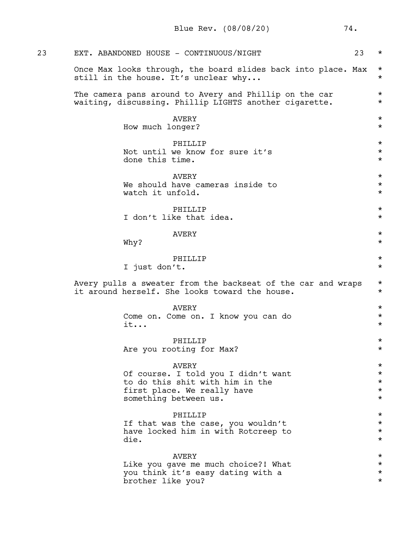| 23 | EXT. ABANDONED HOUSE - CONTINUOUS/NIGHT<br>23                                                                                                  | $^\star$                                                 |
|----|------------------------------------------------------------------------------------------------------------------------------------------------|----------------------------------------------------------|
|    | Once Max looks through, the board slides back into place. Max<br>still in the house. It's unclear why                                          | $^\star$<br>$^\star$                                     |
|    | The camera pans around to Avery and Phillip on the car<br>waiting, discussing. Phillip LIGHTS another cigarette.                               | $^\star$<br>$^\star$                                     |
|    | AVERY<br>How much longer?                                                                                                                      | $^\star$<br>$^\star$                                     |
|    | PHILLIP<br>Not until we know for sure it's<br>done this time.                                                                                  | $^\star$<br>$^\star$<br>$^\star$                         |
|    | AVERY<br>We should have cameras inside to<br>watch it unfold.                                                                                  | $^\star$<br>$\star$<br>$^\star$                          |
|    | PHILLIP<br>I don't like that idea.                                                                                                             | $^\star$<br>$\star$                                      |
|    | <b>AVERY</b><br>Why?                                                                                                                           | $^\star$<br>$\star$                                      |
|    | PHILLIP<br>I just don't.                                                                                                                       | $^\star$<br>$^\star$                                     |
|    | Avery pulls a sweater from the backseat of the car and wraps<br>it around herself. She looks toward the house.                                 | $^\star$<br>$^\star$                                     |
|    | <b>AVERY</b><br>Come on. Come on. I know you can do<br>it                                                                                      | $^\star$<br>$^\star$<br>$^\star$                         |
|    | <b>PHTLLTP</b><br>Are you rooting for Max?                                                                                                     | $^\star$<br>$^\star$                                     |
|    | <b>AVERY</b><br>Of course. I told you I didn't want<br>to do this shit with him in the<br>first place. We really have<br>something between us. | $^\star$<br>$^\star$<br>$^\star$<br>$^\star$<br>$^\star$ |
|    | PHILLIP<br>If that was the case, you wouldn't<br>have locked him in with Rotcreep to<br>die.                                                   | $^\star$<br>$^\star$<br>$^\star$<br>$^\star$             |
|    | <b>AVERY</b><br>Like you gave me much choice?! What<br>you think it's easy dating with a<br>brother like you?                                  | $^\star$<br>$^\star$<br>$^\star$<br>$^\star$             |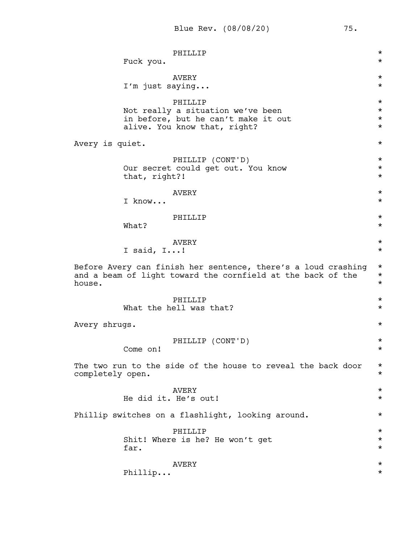|                  | Fuck you.       | PHILLIP                                                                                                                      | $^\star$<br>$^\star$                         |
|------------------|-----------------|------------------------------------------------------------------------------------------------------------------------------|----------------------------------------------|
|                  | I'm just saying | <b>AVERY</b>                                                                                                                 | $^\star$<br>$^\star$                         |
|                  |                 | PHILLIP<br>Not really a situation we've been<br>in before, but he can't make it out<br>alive. You know that, right?          | $^\star$<br>$^\star$<br>$^\star$<br>$^\star$ |
| Avery is quiet.  |                 |                                                                                                                              | $^\star$                                     |
|                  | that, right?!   | PHILLIP (CONT'D)<br>Our secret could get out. You know                                                                       | $^\star$<br>$^\star$<br>$^\star$             |
|                  | I know          | AVERY                                                                                                                        | $^\star$<br>$^\star$                         |
|                  | What?           | PHILLIP                                                                                                                      | $^\star$<br>$^\star$                         |
|                  | I said, $I!$    | <b>AVERY</b>                                                                                                                 | $^\star$<br>$^\star$                         |
| house.           |                 | Before Avery can finish her sentence, there's a loud crashing<br>and a beam of light toward the cornfield at the back of the | $\star$<br>$^\star$<br>$^\star$              |
|                  |                 | PHILLIP<br>What the hell was that?                                                                                           | $^\star$<br>$^\star$                         |
| Avery shrugs.    |                 |                                                                                                                              | $^\star$                                     |
|                  | Come on!        | PHILLIP (CONT'D)                                                                                                             | $^\star$<br>$^\star$                         |
| completely open. |                 | The two run to the side of the house to reveal the back door                                                                 | $^\star$<br>$^\star$                         |
|                  |                 | <b>AVERY</b><br>He did it. He's out!                                                                                         | $^\star$<br>$^\star$                         |
|                  |                 | Phillip switches on a flashlight, looking around.                                                                            | $^\star$                                     |
|                  | far.            | PHILLIP<br>Shit! Where is he? He won't get                                                                                   | $^\star$<br>$^\star$<br>$^\star$             |
|                  | Philip          | AVERY                                                                                                                        | $^\star$<br>$^\star$                         |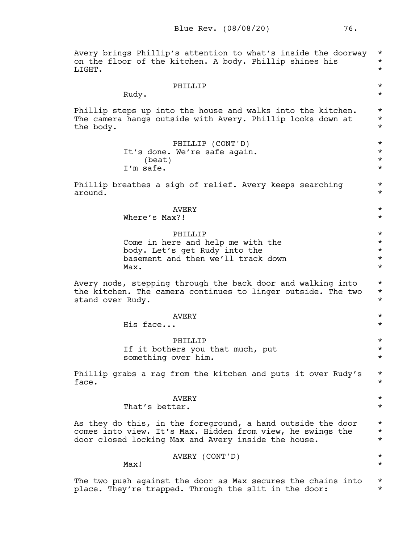Avery brings Phillip's attention to what's inside the doorway \* on the floor of the kitchen. A body. Phillip shines his  $*$ LIGHT. PHILLIP  $\qquad \qquad \star$ Rudy.  $\star$ Phillip steps up into the house and walks into the kitchen.  $*$ The camera hangs outside with Avery. Phillip looks down at  $*$ the body.  $\star$ PHILLIP (CONT'D) \* It's done. We're safe again. \*  $\star$ I'm safe.  $\star$ Phillip breathes a sigh of relief. Avery keeps searching \* around. \* AVERY  $\star$ Where's Max?!  $\star$ PHILLIP  $\star$ Come in here and help me with the  $*$ body. Let's get Rudy into the  $*$ basement and then we'll track down  $*$  $\texttt{Max.}$ Avery nods, stepping through the back door and walking into  $*$ the kitchen. The camera continues to linger outside. The two \* stand over Rudy.  $\star$ AVERY  $\star$ His face... \* PHILLIP  $\star$ If it bothers you that much, put  $\star$ something over him.  $\star$ Phillip grabs a rag from the kitchen and puts it over Rudy's  $*$  $face.$   $*$ AVERY  $\star$ That's better.  $\star$ As they do this, in the foreground, a hand outside the door  $*$ comes into view. It's Max. Hidden from view, he swings the \* door closed locking Max and Avery inside the house. \* AVERY (CONT'D) \*  $\texttt{Max!}$ 

The two push against the door as Max secures the chains into  $*$ place. They're trapped. Through the slit in the door:  $*$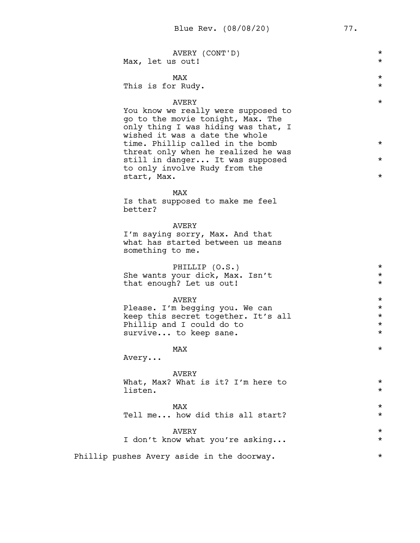| AVERY (CONT'D)                                                                                                                                                                                                                                                                                                                  | $^\star$                                     |
|---------------------------------------------------------------------------------------------------------------------------------------------------------------------------------------------------------------------------------------------------------------------------------------------------------------------------------|----------------------------------------------|
| Max, let us out!                                                                                                                                                                                                                                                                                                                | $^\star$                                     |
| MAX                                                                                                                                                                                                                                                                                                                             | $^\star$                                     |
| This is for Rudy.                                                                                                                                                                                                                                                                                                               | $^\star$                                     |
| <b>AVERY</b><br>You know we really were supposed to<br>go to the movie tonight, Max. The<br>only thing I was hiding was that, I<br>wished it was a date the whole<br>time. Phillip called in the bomb<br>threat only when he realized he was<br>still in danger It was supposed<br>to only involve Rudy from the<br>start, Max. | $^\star$<br>$^\star$<br>$^\star$<br>$^\star$ |
| <b>MAX</b><br>Is that supposed to make me feel<br>better?                                                                                                                                                                                                                                                                       |                                              |
| AVERY<br>I'm saying sorry, Max. And that<br>what has started between us means<br>something to me.                                                                                                                                                                                                                               |                                              |
| PHILLIP (O.S.)                                                                                                                                                                                                                                                                                                                  | $^\star$                                     |
| She wants your dick, Max. Isn't                                                                                                                                                                                                                                                                                                 | $^\star$                                     |
| that enough? Let us out!                                                                                                                                                                                                                                                                                                        | $^\star$                                     |
| AVERY                                                                                                                                                                                                                                                                                                                           | $^\star$                                     |
| Please. I'm begging you. We can                                                                                                                                                                                                                                                                                                 | $^\star$                                     |
| keep this secret together. It's all                                                                                                                                                                                                                                                                                             | $^\star$                                     |
| Phillip and I could do to                                                                                                                                                                                                                                                                                                       | $^\star$                                     |
| survive to keep sane.                                                                                                                                                                                                                                                                                                           | $^\star$                                     |
| MAX<br>Avery                                                                                                                                                                                                                                                                                                                    | $^\star$                                     |
| AVERY<br>What, Max? What is it? I'm here to<br>listen.                                                                                                                                                                                                                                                                          | $^\star$<br>$^\star$                         |
| <b>MAX</b>                                                                                                                                                                                                                                                                                                                      | $^\star$                                     |
| Tell me how did this all start?                                                                                                                                                                                                                                                                                                 | $^\star$                                     |
| AVERY                                                                                                                                                                                                                                                                                                                           | $^\star$                                     |
| I don't know what you're asking                                                                                                                                                                                                                                                                                                 | $^\star$                                     |
| Phillip pushes Avery aside in the doorway.                                                                                                                                                                                                                                                                                      | $^\star$                                     |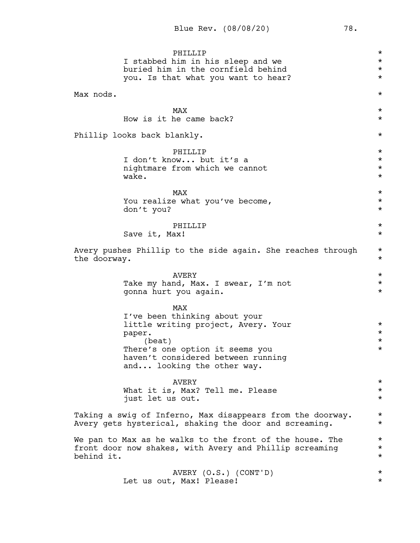PHILLIP<br>him in his sleep and we  $\star$ I stabbed him in his sleep and we \* buried him in the cornfield behind  $*$ you. Is that what you want to hear? \* \* Max nods. \*  $\text{MAX}$   $\star$ How is it he came back?  $\star$ Phillip looks back blankly.  $\star$ PHILLIP  $\qquad \qquad \star$ I don't know... but it's a  $\star$ nightmare from which we cannot \* wake.  $\star$  $\text{MAX}$   $\star$ You realize what you've become,  $\star$ don't you?  $\star$ PHILLIP  $\qquad \qquad \star$ Save it, Max!  $*$ Avery pushes Phillip to the side again. She reaches through \* the doorway.  $\star$ AVERY  $\qquad$  \* Take my hand, Max. I swear, I'm not \* gonna hurt you again. \* MAX I've been thinking about your little writing project, Avery. Your \* paper. \*  $\star$ There's one option it seems you \*\* haven't considered between running and... looking the other way. AVERY  $\qquad$  \* What it is, Max? Tell me. Please  $*$ just let us out.  $\star$ Taking a swig of Inferno, Max disappears from the doorway. \* Avery gets hysterical, shaking the door and screaming.  $*$ We pan to Max as he walks to the front of the house. The  $*$ front door now shakes, with Avery and Phillip screaming  $*$ behind it.  $\star$ AVERY (O.S.) (CONT'D) \*<br>Max! Please! \* Let us out, Max! Please!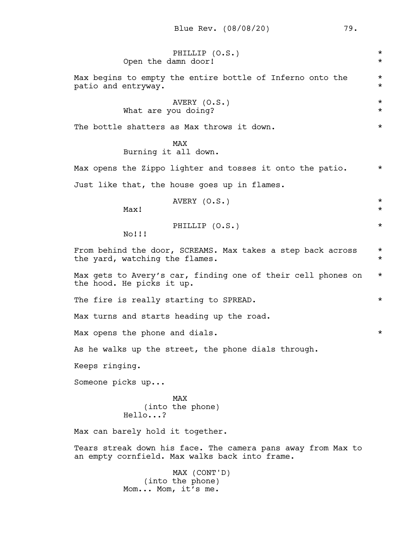| PHILLIP (O.S.)<br>Open the damn door!                                                                          | $\star$<br>$\star$   |  |  |
|----------------------------------------------------------------------------------------------------------------|----------------------|--|--|
| Max begins to empty the entire bottle of Inferno onto the<br>patio and entryway.                               | $^\star$<br>$^\star$ |  |  |
| AVERY (O.S.)<br>What are you doing?                                                                            | $^\star$<br>$\star$  |  |  |
| The bottle shatters as Max throws it down.                                                                     | $\star$              |  |  |
| MAX<br>Burning it all down.                                                                                    |                      |  |  |
| Max opens the Zippo lighter and tosses it onto the patio.                                                      | $\star$              |  |  |
| Just like that, the house goes up in flames.                                                                   |                      |  |  |
| AVERY (O.S.)<br>Max!                                                                                           | $\star$<br>$\star$   |  |  |
| PHILLIP (O.S.)<br>No!!!                                                                                        | $\star$              |  |  |
| From behind the door, SCREAMS. Max takes a step back across<br>the yard, watching the flames.                  | $\star$<br>$\star$   |  |  |
| Max gets to Avery's car, finding one of their cell phones on<br>the hood. He picks it up.                      | $\star$              |  |  |
| The fire is really starting to SPREAD.                                                                         | $^\star$             |  |  |
| Max turns and starts heading up the road.                                                                      |                      |  |  |
| Max opens the phone and dials.                                                                                 |                      |  |  |
| As he walks up the street, the phone dials through.                                                            |                      |  |  |
| Keeps ringing.                                                                                                 |                      |  |  |
| Someone picks up                                                                                               |                      |  |  |
| <b>MAX</b><br>(into the phone)<br>Hello?                                                                       |                      |  |  |
| Max can barely hold it together.                                                                               |                      |  |  |
| Tears streak down his face. The camera pans away from Max to<br>an empty cornfield. Max walks back into frame. |                      |  |  |
| MAX (CONT'D)<br>(into the phone)<br>Mom Mom, it's me.                                                          |                      |  |  |